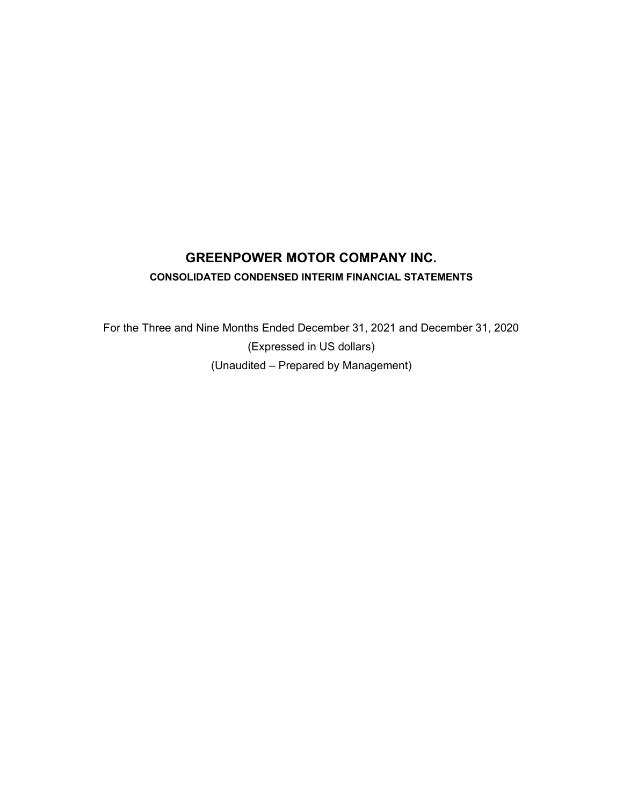# **GREENPOWER MOTOR COMPANY INC. CONSOLIDATED CONDENSED INTERIM FINANCIAL STATEMENTS**

For the Three and Nine Months Ended December 31, 2021 and December 31, 2020 (Expressed in US dollars) (Unaudited – Prepared by Management)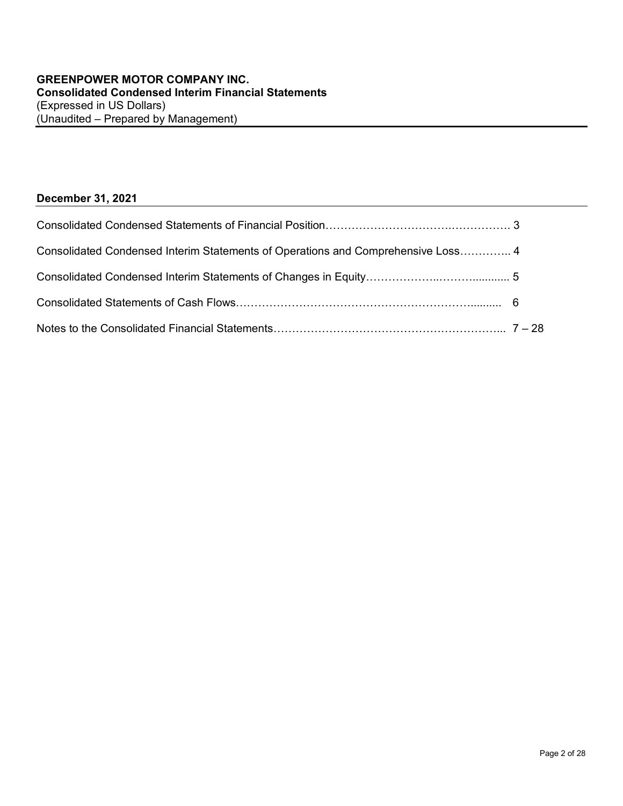## **December 31, 2021**

| Consolidated Condensed Interim Statements of Operations and Comprehensive Loss 4 |  |
|----------------------------------------------------------------------------------|--|
|                                                                                  |  |
|                                                                                  |  |
|                                                                                  |  |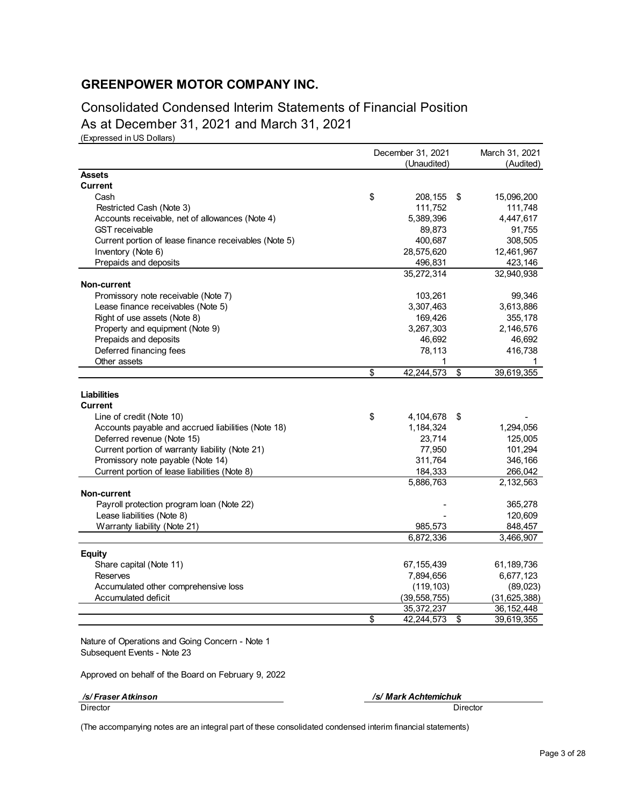Consolidated Condensed Interim Statements of Financial Position As at December 31, 2021 and March 31, 2021

(Expressed in US Dollars)

|                                                       | December 31, 2021 |                | March 31, 2021 |                |
|-------------------------------------------------------|-------------------|----------------|----------------|----------------|
|                                                       | (Unaudited)       |                |                | (Audited)      |
| <b>Assets</b>                                         |                   |                |                |                |
| <b>Current</b>                                        |                   |                |                |                |
| Cash                                                  | \$                | 208,155        | \$             | 15,096,200     |
| Restricted Cash (Note 3)                              |                   | 111,752        |                | 111,748        |
| Accounts receivable, net of allowances (Note 4)       |                   | 5,389,396      |                | 4,447,617      |
| <b>GST</b> receivable                                 |                   | 89,873         |                | 91,755         |
| Current portion of lease finance receivables (Note 5) |                   | 400,687        |                | 308,505        |
| Inventory (Note 6)                                    |                   | 28,575,620     |                | 12,461,967     |
| Prepaids and deposits                                 |                   | 496,831        |                | 423,146        |
|                                                       |                   | 35,272,314     |                | 32,940,938     |
| <b>Non-current</b>                                    |                   |                |                |                |
| Promissory note receivable (Note 7)                   |                   | 103,261        |                | 99,346         |
| Lease finance receivables (Note 5)                    |                   | 3,307,463      |                | 3,613,886      |
| Right of use assets (Note 8)                          |                   | 169,426        |                | 355,178        |
| Property and equipment (Note 9)                       |                   | 3,267,303      |                | 2,146,576      |
| Prepaids and deposits                                 |                   | 46,692         |                | 46,692         |
| Deferred financing fees                               |                   | 78,113         |                | 416,738        |
| Other assets                                          |                   |                |                |                |
|                                                       | \$                | 42,244,573     | \$             | 39,619,355     |
| Liabilities                                           |                   |                |                |                |
| <b>Current</b>                                        |                   |                |                |                |
| Line of credit (Note 10)                              | \$                | 4,104,678      | \$             |                |
| Accounts payable and accrued liabilities (Note 18)    |                   | 1,184,324      |                | 1,294,056      |
| Deferred revenue (Note 15)                            |                   | 23,714         |                | 125,005        |
| Current portion of warranty liability (Note 21)       |                   | 77,950         |                | 101,294        |
| Promissory note payable (Note 14)                     |                   | 311,764        |                | 346,166        |
| Current portion of lease liabilities (Note 8)         |                   | 184,333        |                | 266,042        |
|                                                       |                   | 5,886,763      |                | 2,132,563      |
| Non-current                                           |                   |                |                |                |
| Payroll protection program loan (Note 22)             |                   |                |                | 365,278        |
| Lease liabilities (Note 8)                            |                   |                |                | 120,609        |
| Warranty liability (Note 21)                          |                   | 985,573        |                | 848,457        |
|                                                       |                   | 6,872,336      |                | 3,466,907      |
|                                                       |                   |                |                |                |
| <b>Equity</b>                                         |                   |                |                |                |
| Share capital (Note 11)                               |                   | 67, 155, 439   |                | 61,189,736     |
| Reserves                                              |                   | 7,894,656      |                | 6,677,123      |
| Accumulated other comprehensive loss                  |                   | (119, 103)     |                | (89, 023)      |
| Accumulated deficit                                   |                   | (39, 558, 755) |                | (31, 625, 388) |
|                                                       |                   | 35, 372, 237   |                | 36, 152, 448   |
|                                                       | \$                | 42,244,573     | \$             | 39,619,355     |

Nature of Operations and Going Concern - Note 1 Subsequent Events - Note 23

Approved on behalf of the Board on February 9, 2022

 */s/ Fraser Atkinson /s/ Mark Achtemichuk* Director Director

(The accompanying notes are an integral part of these consolidated condensed interim financial statements)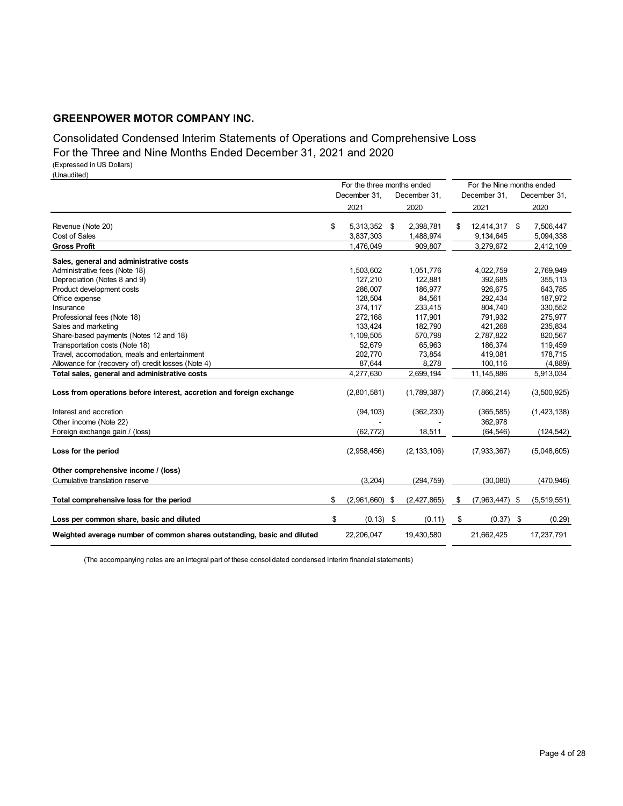# Consolidated Condensed Interim Statements of Operations and Comprehensive Loss

For the Three and Nine Months Ended December 31, 2021 and 2020

(Expressed in US Dollars) (Unaudited)

December 31, December 31, December 31, December 31, 2021 2020 2021 2020 Revenue (Note 20) \$ 5,313,352 \$ 2,398,781 \$ 12,414,317 \$ 7,506,447 Cost of Sales 3,837,303 1,488,974 9,134,645 5,094,338 **Gross Profit** 2,412,109 3,279,672 2,412,109 3,279,672 3,279,672 3,279,672 3,279,672 3,412,109 **Sales, general and administrative costs** Administrative fees (Note 18) 1,503,602 1,051,776 4,022,759 2,769,949<br>Depreciation (Notes 8 and 9) 127,210 122,881 392,685 355,113 Depreciation (Notes 8 and 9) Product development costs 286,007 186,977 926,675 643,785 Office expense 128,504 84,561 292,434 187,972 Insurance 374,117 233,415 804,740 330,552 Professional fees (Note 18) 272,168 117,901 791,932 275,977 Sales and marketing 133,424 182,790 421,268 235,834<br>Share-based payments (Notes 12 and 18) 3.1.1.109,505 570,798 2,787,822 320,567 Share-based payments (Notes 12 and 18) Transportation costs (Note 18) 52,679 65,963 186,374 119,459 Travel, accomodation, meals and entertainment and the commodation, meals and entertainment and the commodation, the commodation of the commodation, meals and entertainment and the commodation of the commodation of the comm Allowance for (recovery of) credit losses (Note 4) 87,644 8,278 100,116 (4,889) **Total sales, general and administrative costs** 4,277,630 2,699,194 11,145,886 5,913,034 **Loss from operations before interest, accretion and foreign exchange** (2,801,581) (1,789,387) (7,866,214) (3,500,925) Interest and accretion (94,103) (362,230) (365,585) (1,423,138) Other income (Note 22) 362,978 Foreign exchange gain / (loss) (62,772) 18,511 (64,546) (124,542) **Loss for the period** (2,958,456) (2,133,106) (7,933,367) (5,048,605) **Other comprehensive income / (loss)** Cumulative translation reserve (3,204) (294,759) (30,080) (470,946) **Total comprehensive loss for the period**  $$ (2,961,660) $ (2,427,865) $ ($7,963,447) $ ($5,519,551)$ **Loss per common share, basic and diluted**  $\qquad \qquad$  \$ (0.13) \$ (0.11) \$ (0.37) \$ (0.29) **Weighted average number of common shares outstanding, basic and diluted** 22,206,047 19,430,580 21,662,425 17,237,791 For the three months ended For the Nine months ended

(The accompanying notes are an integral part of these consolidated condensed interim financial statements)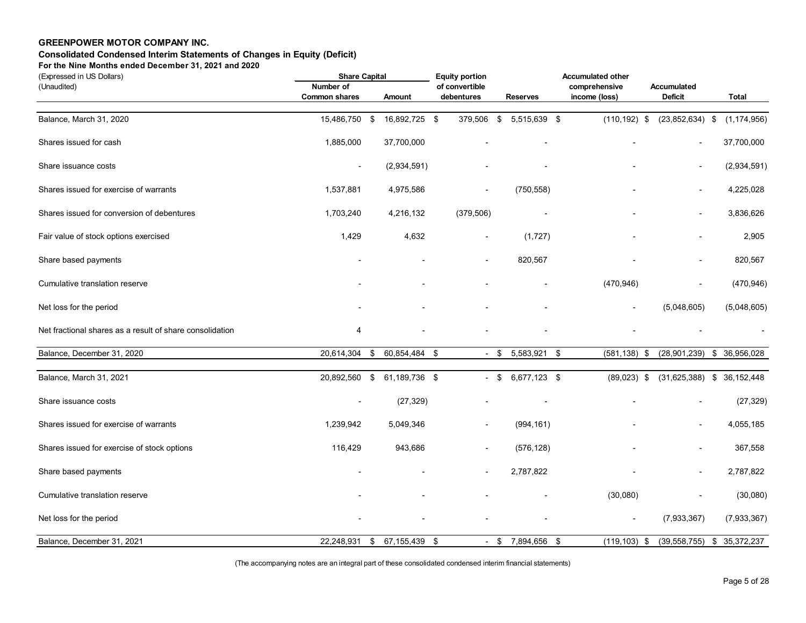## **Consolidated Condensed Interim Statements of Changes in Equity (Deficit)**

**For the Nine Months ended December 31, 2021 and 2020**

| (Expressed in US Dollars)                                |                          | <b>Share Capital</b> |               |  | <b>Equity portion</b>    |        |                 | <b>Accumulated other</b> |                              |  |               |  |
|----------------------------------------------------------|--------------------------|----------------------|---------------|--|--------------------------|--------|-----------------|--------------------------|------------------------------|--|---------------|--|
| (Unaudited)                                              | Number of                |                      |               |  | of convertible           |        |                 | comprehensive            | Accumulated                  |  |               |  |
|                                                          | <b>Common shares</b>     |                      | Amount        |  | debentures               |        | <b>Reserves</b> | income (loss)            | Deficit                      |  | <b>Total</b>  |  |
| Balance, March 31, 2020                                  | 15,486,750               | \$                   | 16,892,725 \$ |  | 379,506 \$               |        | 5,515,639 \$    | $(110, 192)$ \$          | $(23,852,634)$ \$            |  | (1, 174, 956) |  |
| Shares issued for cash                                   | 1,885,000                |                      | 37,700,000    |  |                          |        |                 |                          | $\overline{\phantom{a}}$     |  | 37,700,000    |  |
| Share issuance costs                                     | $\overline{\phantom{a}}$ |                      | (2,934,591)   |  |                          |        |                 |                          | $\overline{\phantom{a}}$     |  | (2,934,591)   |  |
| Shares issued for exercise of warrants                   | 1,537,881                |                      | 4,975,586     |  | $\overline{\phantom{0}}$ |        | (750, 558)      |                          | $\blacksquare$               |  | 4,225,028     |  |
| Shares issued for conversion of debentures               | 1,703,240                |                      | 4,216,132     |  | (379, 506)               |        |                 |                          |                              |  | 3,836,626     |  |
| Fair value of stock options exercised                    | 1,429                    |                      | 4,632         |  | $\blacksquare$           |        | (1,727)         |                          | L,                           |  | 2,905         |  |
| Share based payments                                     |                          |                      |               |  | $\overline{\phantom{0}}$ |        | 820,567         |                          | ÷,                           |  | 820,567       |  |
| Cumulative translation reserve                           |                          |                      |               |  |                          |        |                 | (470, 946)               | $\overline{\phantom{a}}$     |  | (470, 946)    |  |
| Net loss for the period                                  |                          |                      |               |  |                          |        |                 |                          | (5,048,605)                  |  | (5,048,605)   |  |
| Net fractional shares as a result of share consolidation | 4                        |                      |               |  |                          |        |                 |                          |                              |  |               |  |
| Balance, December 31, 2020                               | 20,614,304               | \$                   | 60,854,484 \$ |  |                          | $-$ \$ | 5,583,921       | \$<br>$(581, 138)$ \$    | (28,901,239)                 |  | \$ 36,956,028 |  |
| Balance, March 31, 2021                                  | 20,892,560 \$            |                      | 61,189,736 \$ |  |                          | $-$ \$ | 6,677,123 \$    | $(89,023)$ \$            | $(31,625,388)$ \$ 36,152,448 |  |               |  |
| Share issuance costs                                     | $\overline{\phantom{a}}$ |                      | (27, 329)     |  |                          |        |                 |                          |                              |  | (27, 329)     |  |
| Shares issued for exercise of warrants                   | 1,239,942                |                      | 5,049,346     |  | $\overline{\phantom{a}}$ |        | (994, 161)      |                          | $\overline{\phantom{a}}$     |  | 4,055,185     |  |
| Shares issued for exercise of stock options              | 116,429                  |                      | 943,686       |  | $\overline{a}$           |        | (576, 128)      |                          | $\overline{a}$               |  | 367,558       |  |
| Share based payments                                     |                          |                      |               |  | $\blacksquare$           |        | 2,787,822       |                          | $\blacksquare$               |  | 2,787,822     |  |
| Cumulative translation reserve                           |                          |                      |               |  |                          |        |                 | (30,080)                 | $\overline{\phantom{a}}$     |  | (30,080)      |  |
| Net loss for the period                                  |                          |                      |               |  |                          |        |                 | $\overline{\phantom{a}}$ | (7,933,367)                  |  | (7,933,367)   |  |
| Balance, December 31, 2021                               | 22,248,931               | \$                   | 67,155,439 \$ |  |                          | $-$ \$ | 7,894,656 \$    | $(119, 103)$ \$          | $(39,558,755)$ \$ 35,372,237 |  |               |  |

(The accompanying notes are an integral part of these consolidated condensed interim financial statements)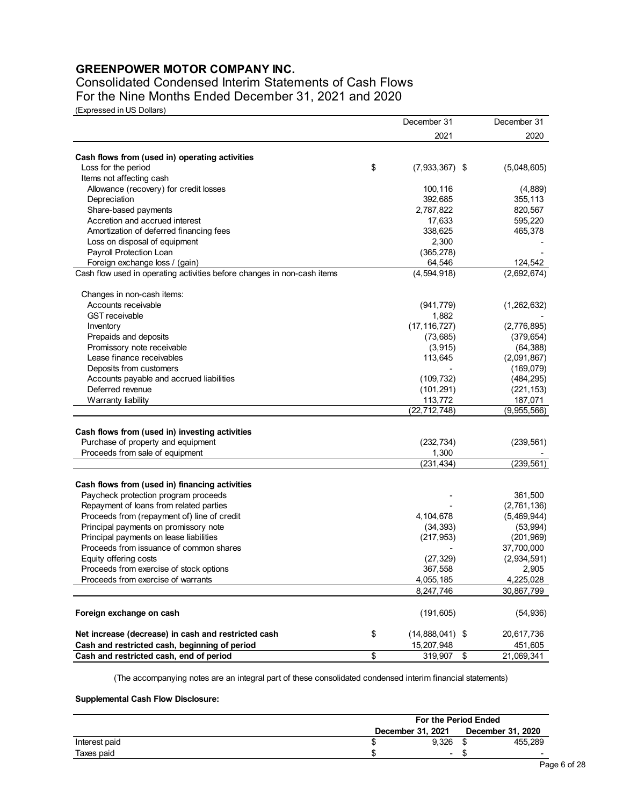Consolidated Condensed Interim Statements of Cash Flows For the Nine Months Ended December 31, 2021 and 2020

(Expressed in US Dollars)

|                                                                         | December 31             | December 31        |
|-------------------------------------------------------------------------|-------------------------|--------------------|
|                                                                         | 2021                    | 2020               |
|                                                                         |                         |                    |
| Cash flows from (used in) operating activities<br>Loss for the period   | \$<br>$(7,933,367)$ \$  | (5,048,605)        |
| Items not affecting cash                                                |                         |                    |
| Allowance (recovery) for credit losses                                  | 100,116                 |                    |
|                                                                         | 392,685                 | (4,889)<br>355,113 |
| Depreciation                                                            |                         |                    |
| Share-based payments                                                    | 2,787,822               | 820,567            |
| Accretion and accrued interest                                          | 17,633                  | 595,220            |
| Amortization of deferred financing fees                                 | 338,625                 | 465,378            |
| Loss on disposal of equipment                                           | 2,300                   |                    |
| Payroll Protection Loan                                                 | (365, 278)              |                    |
| Foreign exchange loss / (gain)                                          | 64,546                  | 124,542            |
| Cash flow used in operating activities before changes in non-cash items | (4, 594, 918)           | (2,692,674)        |
| Changes in non-cash items:                                              |                         |                    |
| Accounts receivable                                                     | (941, 779)              | (1,262,632)        |
| <b>GST</b> receivable                                                   | 1,882                   |                    |
| Inventory                                                               | (17, 116, 727)          | (2,776,895)        |
| Prepaids and deposits                                                   | (73, 685)               | (379, 654)         |
| Promissory note receivable                                              | (3, 915)                | (64, 388)          |
| Lease finance receivables                                               | 113,645                 | (2,091,867)        |
| Deposits from customers                                                 |                         | (169,079)          |
| Accounts payable and accrued liabilities                                | (109, 732)              | (484, 295)         |
| Deferred revenue                                                        | (101, 291)              | (221, 153)         |
| Warranty liability                                                      | 113,772                 | 187,071            |
|                                                                         | (22, 712, 748)          | (9,955,566)        |
| Cash flows from (used in) investing activities                          |                         |                    |
| Purchase of property and equipment                                      |                         |                    |
|                                                                         | (232, 734)              | (239, 561)         |
| Proceeds from sale of equipment                                         | 1,300<br>(231, 434)     | (239, 561)         |
|                                                                         |                         |                    |
| Cash flows from (used in) financing activities                          |                         |                    |
| Paycheck protection program proceeds                                    |                         | 361,500            |
| Repayment of loans from related parties                                 |                         | (2,761,136)        |
| Proceeds from (repayment of) line of credit                             | 4,104,678               | (5,469,944)        |
| Principal payments on promissory note                                   | (34, 393)               | (53, 994)          |
| Principal payments on lease liabilities                                 | (217, 953)              | (201, 969)         |
| Proceeds from issuance of common shares                                 |                         | 37,700,000         |
| Equity offering costs                                                   | (27, 329)               | (2,934,591)        |
| Proceeds from exercise of stock options                                 | 367,558                 | 2,905              |
| Proceeds from exercise of warrants                                      | 4,055,185               | 4,225,028          |
|                                                                         | 8,247,746               | 30,867,799         |
| Foreign exchange on cash                                                | (191, 605)              | (54, 936)          |
| Net increase (decrease) in cash and restricted cash                     | \$<br>$(14,888,041)$ \$ | 20,617,736         |
| Cash and restricted cash, beginning of period                           | 15,207,948              | 451,605            |
| Cash and restricted cash, end of period                                 | \$<br>319,907           | \$<br>21,069,341   |

(The accompanying notes are an integral part of these consolidated condensed interim financial statements)

#### **Supplemental Cash Flow Disclosure:**

|               |                                        | For the Period Ended     |  |                          |  |
|---------------|----------------------------------------|--------------------------|--|--------------------------|--|
|               | December 31, 2020<br>December 31, 2021 |                          |  |                          |  |
| Interest paid |                                        | 9.326                    |  | 455,289                  |  |
| Taxes paid    |                                        | $\overline{\phantom{0}}$ |  | $\overline{\phantom{0}}$ |  |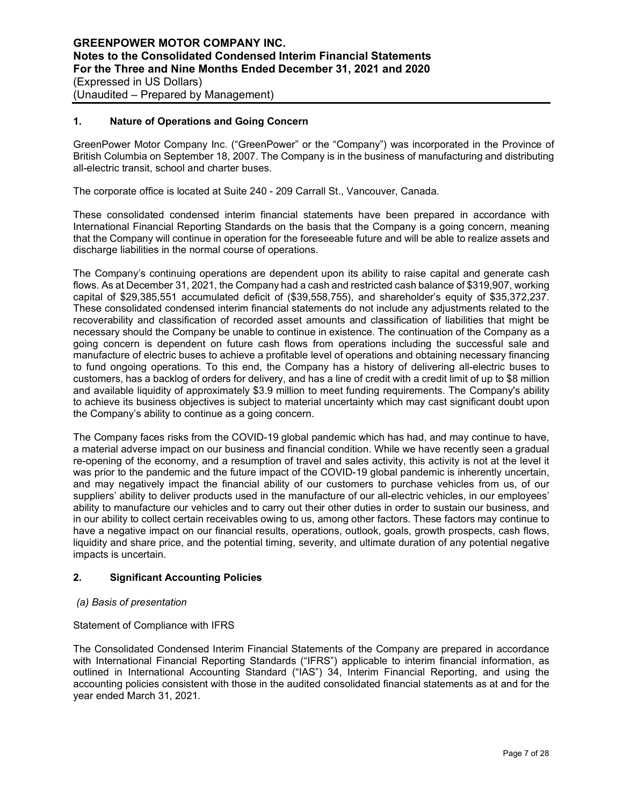## **1. Nature of Operations and Going Concern**

GreenPower Motor Company Inc. ("GreenPower" or the "Company") was incorporated in the Province of British Columbia on September 18, 2007. The Company is in the business of manufacturing and distributing all-electric transit, school and charter buses.

The corporate office is located at Suite 240 - 209 Carrall St., Vancouver, Canada.

These consolidated condensed interim financial statements have been prepared in accordance with International Financial Reporting Standards on the basis that the Company is a going concern, meaning that the Company will continue in operation for the foreseeable future and will be able to realize assets and discharge liabilities in the normal course of operations.

The Company's continuing operations are dependent upon its ability to raise capital and generate cash flows. As at December 31, 2021, the Company had a cash and restricted cash balance of \$319,907, working capital of \$29,385,551 accumulated deficit of (\$39,558,755), and shareholder's equity of \$35,372,237. These consolidated condensed interim financial statements do not include any adjustments related to the recoverability and classification of recorded asset amounts and classification of liabilities that might be necessary should the Company be unable to continue in existence. The continuation of the Company as a going concern is dependent on future cash flows from operations including the successful sale and manufacture of electric buses to achieve a profitable level of operations and obtaining necessary financing to fund ongoing operations. To this end, the Company has a history of delivering all-electric buses to customers, has a backlog of orders for delivery, and has a line of credit with a credit limit of up to \$8 million and available liquidity of approximately \$3.9 million to meet funding requirements. The Company's ability to achieve its business objectives is subject to material uncertainty which may cast significant doubt upon the Company's ability to continue as a going concern.

The Company faces risks from the COVID-19 global pandemic which has had, and may continue to have, a material adverse impact on our business and financial condition. While we have recently seen a gradual re-opening of the economy, and a resumption of travel and sales activity, this activity is not at the level it was prior to the pandemic and the future impact of the COVID-19 global pandemic is inherently uncertain, and may negatively impact the financial ability of our customers to purchase vehicles from us, of our suppliers' ability to deliver products used in the manufacture of our all-electric vehicles, in our employees' ability to manufacture our vehicles and to carry out their other duties in order to sustain our business, and in our ability to collect certain receivables owing to us, among other factors. These factors may continue to have a negative impact on our financial results, operations, outlook, goals, growth prospects, cash flows, liquidity and share price, and the potential timing, severity, and ultimate duration of any potential negative impacts is uncertain.

## **2. Significant Accounting Policies**

#### *(a) Basis of presentation*

#### Statement of Compliance with IFRS

The Consolidated Condensed Interim Financial Statements of the Company are prepared in accordance with International Financial Reporting Standards ("IFRS") applicable to interim financial information, as outlined in International Accounting Standard ("IAS") 34, Interim Financial Reporting, and using the accounting policies consistent with those in the audited consolidated financial statements as at and for the year ended March 31, 2021.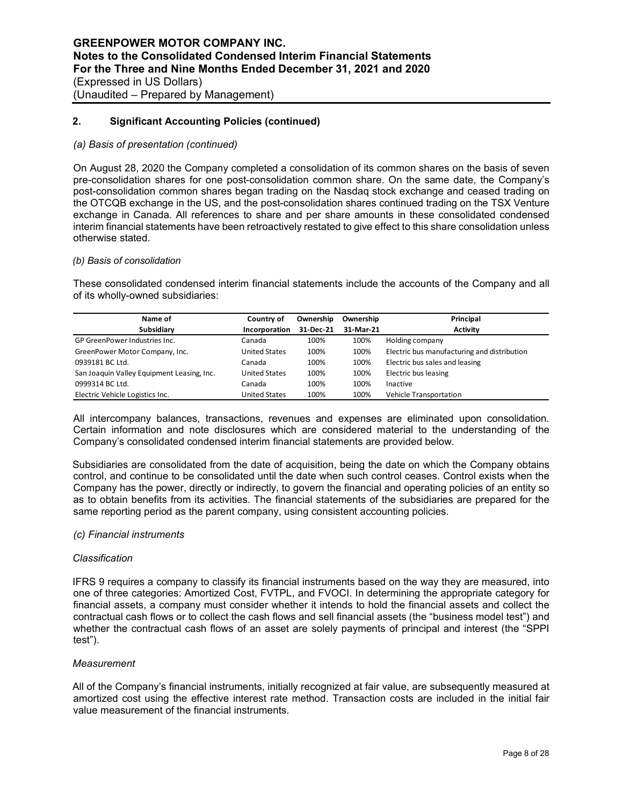#### *(a) Basis of presentation (continued)*

On August 28, 2020 the Company completed a consolidation of its common shares on the basis of seven pre-consolidation shares for one post-consolidation common share. On the same date, the Company's post-consolidation common shares began trading on the Nasdaq stock exchange and ceased trading on the OTCQB exchange in the US, and the post-consolidation shares continued trading on the TSX Venture exchange in Canada. All references to share and per share amounts in these consolidated condensed interim financial statements have been retroactively restated to give effect to this share consolidation unless otherwise stated.

#### *(b) Basis of consolidation*

These consolidated condensed interim financial statements include the accounts of the Company and all of its wholly-owned subsidiaries:

| Name of                                    | Country of           | Ownership | Ownership | Principal                                   |
|--------------------------------------------|----------------------|-----------|-----------|---------------------------------------------|
| Subsidiary                                 | Incorporation        | 31-Dec-21 | 31-Mar-21 | <b>Activity</b>                             |
| GP GreenPower Industries Inc.              | Canada               | 100%      | 100%      | Holding company                             |
| GreenPower Motor Company, Inc.             | <b>United States</b> | 100%      | 100%      | Electric bus manufacturing and distribution |
| 0939181 BC Ltd.                            | Canada               | 100%      | 100%      | Electric bus sales and leasing              |
| San Joaquin Valley Equipment Leasing, Inc. | <b>United States</b> | 100%      | 100%      | Electric bus leasing                        |
| 0999314 BC Ltd.                            | Canada               | 100%      | 100%      | Inactive                                    |
| Electric Vehicle Logistics Inc.            | <b>United States</b> | 100%      | 100%      | Vehicle Transportation                      |

All intercompany balances, transactions, revenues and expenses are eliminated upon consolidation. Certain information and note disclosures which are considered material to the understanding of the Company's consolidated condensed interim financial statements are provided below.

Subsidiaries are consolidated from the date of acquisition, being the date on which the Company obtains control, and continue to be consolidated until the date when such control ceases. Control exists when the Company has the power, directly or indirectly, to govern the financial and operating policies of an entity so as to obtain benefits from its activities. The financial statements of the subsidiaries are prepared for the same reporting period as the parent company, using consistent accounting policies.

#### *(c) Financial instruments*

#### *Classification*

IFRS 9 requires a company to classify its financial instruments based on the way they are measured, into one of three categories: Amortized Cost, FVTPL, and FVOCI. In determining the appropriate category for financial assets, a company must consider whether it intends to hold the financial assets and collect the contractual cash flows or to collect the cash flows and sell financial assets (the "business model test") and whether the contractual cash flows of an asset are solely payments of principal and interest (the "SPPI test").

## *Measurement*

All of the Company's financial instruments, initially recognized at fair value, are subsequently measured at amortized cost using the effective interest rate method. Transaction costs are included in the initial fair value measurement of the financial instruments.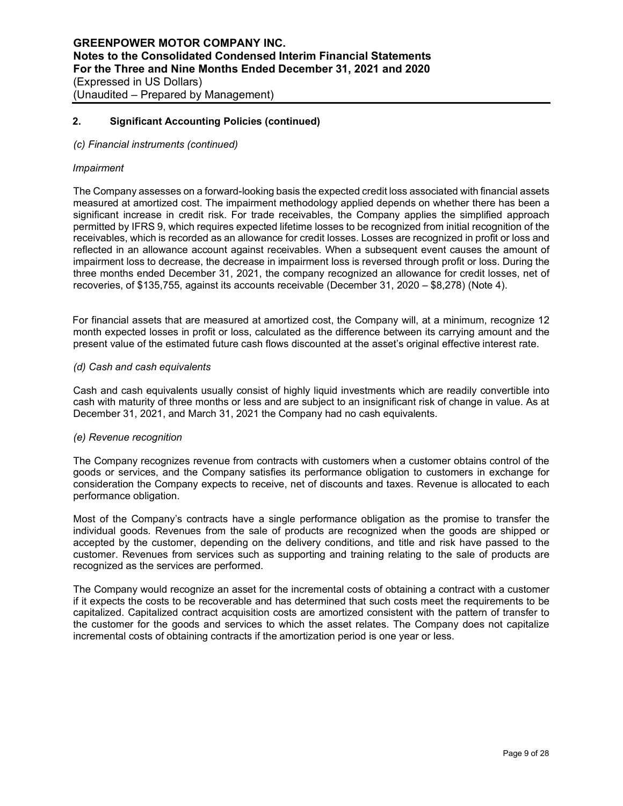#### *(c) Financial instruments (continued)*

#### *Impairment*

The Company assesses on a forward-looking basis the expected credit loss associated with financial assets measured at amortized cost. The impairment methodology applied depends on whether there has been a significant increase in credit risk. For trade receivables, the Company applies the simplified approach permitted by IFRS 9, which requires expected lifetime losses to be recognized from initial recognition of the receivables, which is recorded as an allowance for credit losses. Losses are recognized in profit or loss and reflected in an allowance account against receivables. When a subsequent event causes the amount of impairment loss to decrease, the decrease in impairment loss is reversed through profit or loss. During the three months ended December 31, 2021, the company recognized an allowance for credit losses, net of recoveries, of \$135,755, against its accounts receivable (December 31, 2020 – \$8,278) (Note 4).

For financial assets that are measured at amortized cost, the Company will, at a minimum, recognize 12 month expected losses in profit or loss, calculated as the difference between its carrying amount and the present value of the estimated future cash flows discounted at the asset's original effective interest rate.

#### *(d) Cash and cash equivalents*

Cash and cash equivalents usually consist of highly liquid investments which are readily convertible into cash with maturity of three months or less and are subject to an insignificant risk of change in value. As at December 31, 2021, and March 31, 2021 the Company had no cash equivalents.

#### *(e) Revenue recognition*

The Company recognizes revenue from contracts with customers when a customer obtains control of the goods or services, and the Company satisfies its performance obligation to customers in exchange for consideration the Company expects to receive, net of discounts and taxes. Revenue is allocated to each performance obligation.

Most of the Company's contracts have a single performance obligation as the promise to transfer the individual goods. Revenues from the sale of products are recognized when the goods are shipped or accepted by the customer, depending on the delivery conditions, and title and risk have passed to the customer. Revenues from services such as supporting and training relating to the sale of products are recognized as the services are performed.

The Company would recognize an asset for the incremental costs of obtaining a contract with a customer if it expects the costs to be recoverable and has determined that such costs meet the requirements to be capitalized. Capitalized contract acquisition costs are amortized consistent with the pattern of transfer to the customer for the goods and services to which the asset relates. The Company does not capitalize incremental costs of obtaining contracts if the amortization period is one year or less.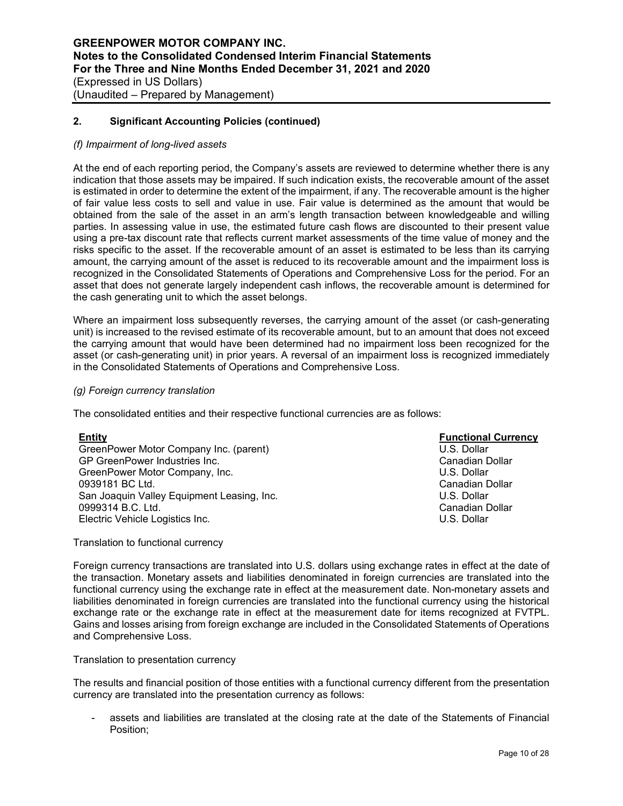#### *(f) Impairment of long-lived assets*

At the end of each reporting period, the Company's assets are reviewed to determine whether there is any indication that those assets may be impaired. If such indication exists, the recoverable amount of the asset is estimated in order to determine the extent of the impairment, if any. The recoverable amount is the higher of fair value less costs to sell and value in use. Fair value is determined as the amount that would be obtained from the sale of the asset in an arm's length transaction between knowledgeable and willing parties. In assessing value in use, the estimated future cash flows are discounted to their present value using a pre-tax discount rate that reflects current market assessments of the time value of money and the risks specific to the asset. If the recoverable amount of an asset is estimated to be less than its carrying amount, the carrying amount of the asset is reduced to its recoverable amount and the impairment loss is recognized in the Consolidated Statements of Operations and Comprehensive Loss for the period. For an asset that does not generate largely independent cash inflows, the recoverable amount is determined for the cash generating unit to which the asset belongs.

Where an impairment loss subsequently reverses, the carrying amount of the asset (or cash-generating unit) is increased to the revised estimate of its recoverable amount, but to an amount that does not exceed the carrying amount that would have been determined had no impairment loss been recognized for the asset (or cash-generating unit) in prior years. A reversal of an impairment loss is recognized immediately in the Consolidated Statements of Operations and Comprehensive Loss.

#### *(g) Foreign currency translation*

The consolidated entities and their respective functional currencies are as follows:

| <b>Entity</b>                              | <b>Functional Currency</b> |
|--------------------------------------------|----------------------------|
| GreenPower Motor Company Inc. (parent)     | U.S. Dollar                |
| GP GreenPower Industries Inc.              | Canadian Dollar            |
| GreenPower Motor Company, Inc.             | U.S. Dollar                |
| 0939181 BC Ltd.                            | Canadian Dollar            |
| San Joaquin Valley Equipment Leasing, Inc. | U.S. Dollar                |
| 0999314 B.C. Ltd.                          | Canadian Dollar            |
| Electric Vehicle Logistics Inc.            | U.S. Dollar                |

Translation to functional currency

Foreign currency transactions are translated into U.S. dollars using exchange rates in effect at the date of the transaction. Monetary assets and liabilities denominated in foreign currencies are translated into the functional currency using the exchange rate in effect at the measurement date. Non-monetary assets and liabilities denominated in foreign currencies are translated into the functional currency using the historical exchange rate or the exchange rate in effect at the measurement date for items recognized at FVTPL. Gains and losses arising from foreign exchange are included in the Consolidated Statements of Operations and Comprehensive Loss.

#### Translation to presentation currency

The results and financial position of those entities with a functional currency different from the presentation currency are translated into the presentation currency as follows:

assets and liabilities are translated at the closing rate at the date of the Statements of Financial Position;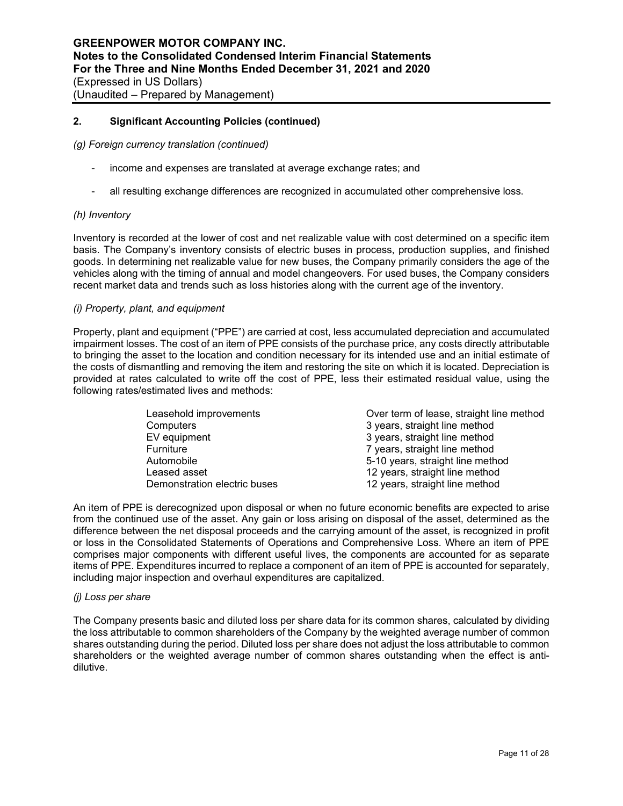*(g) Foreign currency translation (continued)*

- income and expenses are translated at average exchange rates; and
- all resulting exchange differences are recognized in accumulated other comprehensive loss.

#### *(h) Inventory*

Inventory is recorded at the lower of cost and net realizable value with cost determined on a specific item basis. The Company's inventory consists of electric buses in process, production supplies, and finished goods. In determining net realizable value for new buses, the Company primarily considers the age of the vehicles along with the timing of annual and model changeovers. For used buses, the Company considers recent market data and trends such as loss histories along with the current age of the inventory.

#### *(i) Property, plant, and equipment*

Property, plant and equipment ("PPE") are carried at cost, less accumulated depreciation and accumulated impairment losses. The cost of an item of PPE consists of the purchase price, any costs directly attributable to bringing the asset to the location and condition necessary for its intended use and an initial estimate of the costs of dismantling and removing the item and restoring the site on which it is located. Depreciation is provided at rates calculated to write off the cost of PPE, less their estimated residual value, using the following rates/estimated lives and methods:

| Leasehold improvements       | Over term of lease, straight line method |
|------------------------------|------------------------------------------|
| Computers                    | 3 years, straight line method            |
| EV equipment                 | 3 years, straight line method            |
| Furniture                    | 7 years, straight line method            |
| Automobile                   | 5-10 years, straight line method         |
| Leased asset                 | 12 years, straight line method           |
| Demonstration electric buses | 12 years, straight line method           |

An item of PPE is derecognized upon disposal or when no future economic benefits are expected to arise from the continued use of the asset. Any gain or loss arising on disposal of the asset, determined as the difference between the net disposal proceeds and the carrying amount of the asset, is recognized in profit or loss in the Consolidated Statements of Operations and Comprehensive Loss. Where an item of PPE comprises major components with different useful lives, the components are accounted for as separate items of PPE. Expenditures incurred to replace a component of an item of PPE is accounted for separately, including major inspection and overhaul expenditures are capitalized.

#### *(j) Loss per share*

The Company presents basic and diluted loss per share data for its common shares, calculated by dividing the loss attributable to common shareholders of the Company by the weighted average number of common shares outstanding during the period. Diluted loss per share does not adjust the loss attributable to common shareholders or the weighted average number of common shares outstanding when the effect is antidilutive.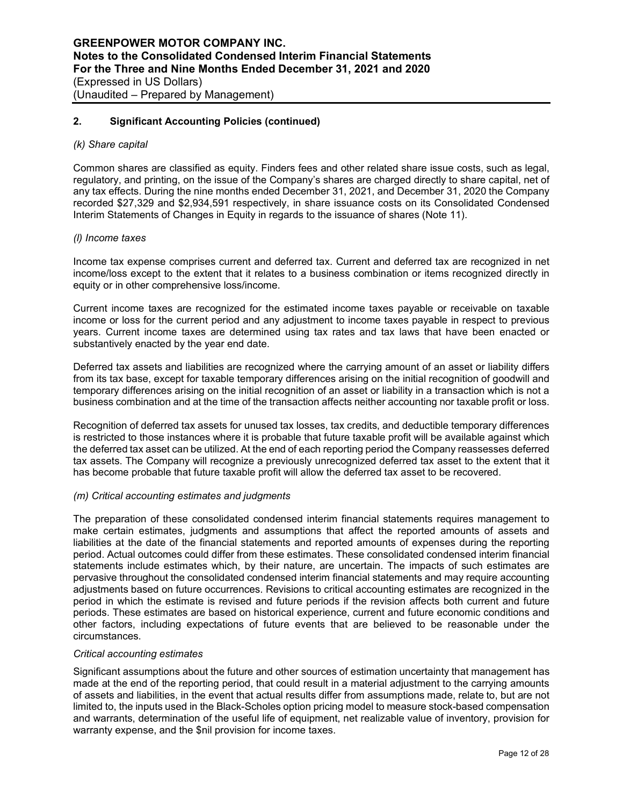#### *(k) Share capital*

Common shares are classified as equity. Finders fees and other related share issue costs, such as legal, regulatory, and printing, on the issue of the Company's shares are charged directly to share capital, net of any tax effects. During the nine months ended December 31, 2021, and December 31, 2020 the Company recorded \$27,329 and \$2,934,591 respectively, in share issuance costs on its Consolidated Condensed Interim Statements of Changes in Equity in regards to the issuance of shares (Note 11).

#### *(l) Income taxes*

Income tax expense comprises current and deferred tax. Current and deferred tax are recognized in net income/loss except to the extent that it relates to a business combination or items recognized directly in equity or in other comprehensive loss/income.

Current income taxes are recognized for the estimated income taxes payable or receivable on taxable income or loss for the current period and any adjustment to income taxes payable in respect to previous years. Current income taxes are determined using tax rates and tax laws that have been enacted or substantively enacted by the year end date.

Deferred tax assets and liabilities are recognized where the carrying amount of an asset or liability differs from its tax base, except for taxable temporary differences arising on the initial recognition of goodwill and temporary differences arising on the initial recognition of an asset or liability in a transaction which is not a business combination and at the time of the transaction affects neither accounting nor taxable profit or loss.

Recognition of deferred tax assets for unused tax losses, tax credits, and deductible temporary differences is restricted to those instances where it is probable that future taxable profit will be available against which the deferred tax asset can be utilized. At the end of each reporting period the Company reassesses deferred tax assets. The Company will recognize a previously unrecognized deferred tax asset to the extent that it has become probable that future taxable profit will allow the deferred tax asset to be recovered.

## *(m) Critical accounting estimates and judgments*

The preparation of these consolidated condensed interim financial statements requires management to make certain estimates, judgments and assumptions that affect the reported amounts of assets and liabilities at the date of the financial statements and reported amounts of expenses during the reporting period. Actual outcomes could differ from these estimates. These consolidated condensed interim financial statements include estimates which, by their nature, are uncertain. The impacts of such estimates are pervasive throughout the consolidated condensed interim financial statements and may require accounting adjustments based on future occurrences. Revisions to critical accounting estimates are recognized in the period in which the estimate is revised and future periods if the revision affects both current and future periods. These estimates are based on historical experience, current and future economic conditions and other factors, including expectations of future events that are believed to be reasonable under the circumstances.

#### *Critical accounting estimates*

Significant assumptions about the future and other sources of estimation uncertainty that management has made at the end of the reporting period, that could result in a material adjustment to the carrying amounts of assets and liabilities, in the event that actual results differ from assumptions made, relate to, but are not limited to, the inputs used in the Black-Scholes option pricing model to measure stock-based compensation and warrants, determination of the useful life of equipment, net realizable value of inventory, provision for warranty expense, and the \$nil provision for income taxes.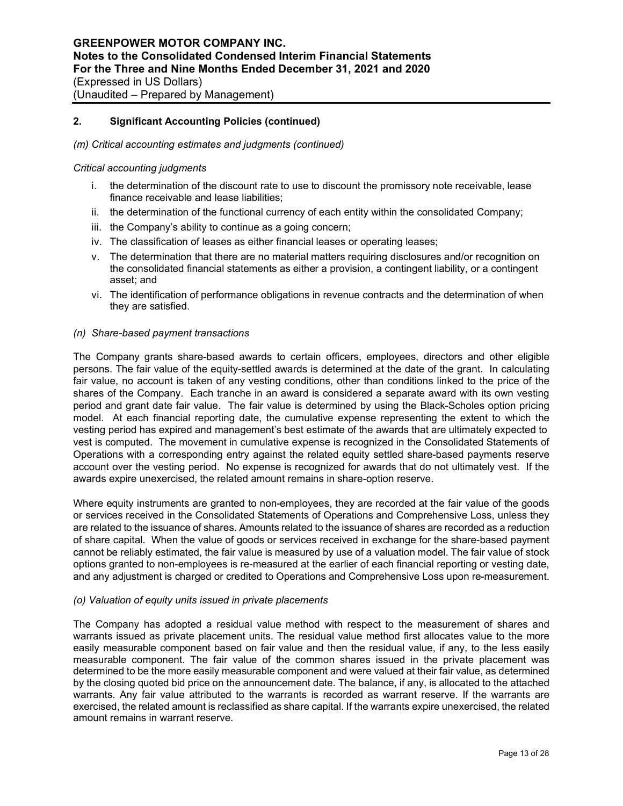#### *(m) Critical accounting estimates and judgments (continued)*

#### *Critical accounting judgments*

- i. the determination of the discount rate to use to discount the promissory note receivable, lease finance receivable and lease liabilities;
- ii. the determination of the functional currency of each entity within the consolidated Company;
- iii. the Company's ability to continue as a going concern;
- iv. The classification of leases as either financial leases or operating leases;
- v. The determination that there are no material matters requiring disclosures and/or recognition on the consolidated financial statements as either a provision, a contingent liability, or a contingent asset; and
- vi. The identification of performance obligations in revenue contracts and the determination of when they are satisfied.

#### *(n) Share-based payment transactions*

The Company grants share-based awards to certain officers, employees, directors and other eligible persons. The fair value of the equity-settled awards is determined at the date of the grant. In calculating fair value, no account is taken of any vesting conditions, other than conditions linked to the price of the shares of the Company. Each tranche in an award is considered a separate award with its own vesting period and grant date fair value. The fair value is determined by using the Black-Scholes option pricing model. At each financial reporting date, the cumulative expense representing the extent to which the vesting period has expired and management's best estimate of the awards that are ultimately expected to vest is computed. The movement in cumulative expense is recognized in the Consolidated Statements of Operations with a corresponding entry against the related equity settled share-based payments reserve account over the vesting period. No expense is recognized for awards that do not ultimately vest. If the awards expire unexercised, the related amount remains in share-option reserve.

Where equity instruments are granted to non-employees, they are recorded at the fair value of the goods or services received in the Consolidated Statements of Operations and Comprehensive Loss, unless they are related to the issuance of shares. Amounts related to the issuance of shares are recorded as a reduction of share capital. When the value of goods or services received in exchange for the share-based payment cannot be reliably estimated, the fair value is measured by use of a valuation model. The fair value of stock options granted to non-employees is re-measured at the earlier of each financial reporting or vesting date, and any adjustment is charged or credited to Operations and Comprehensive Loss upon re-measurement.

#### *(o) Valuation of equity units issued in private placements*

The Company has adopted a residual value method with respect to the measurement of shares and warrants issued as private placement units. The residual value method first allocates value to the more easily measurable component based on fair value and then the residual value, if any, to the less easily measurable component. The fair value of the common shares issued in the private placement was determined to be the more easily measurable component and were valued at their fair value, as determined by the closing quoted bid price on the announcement date. The balance, if any, is allocated to the attached warrants. Any fair value attributed to the warrants is recorded as warrant reserve. If the warrants are exercised, the related amount is reclassified as share capital. If the warrants expire unexercised, the related amount remains in warrant reserve.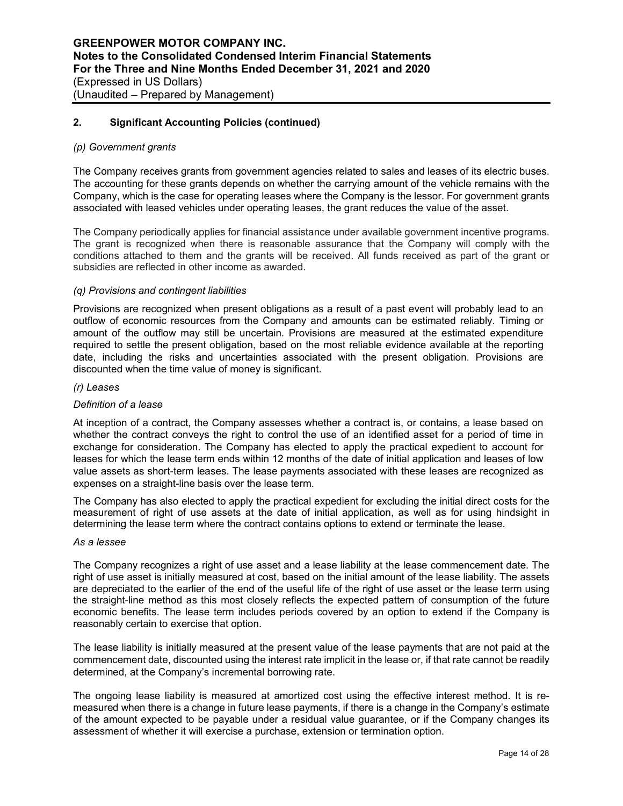#### *(p) Government grants*

The Company receives grants from government agencies related to sales and leases of its electric buses. The accounting for these grants depends on whether the carrying amount of the vehicle remains with the Company, which is the case for operating leases where the Company is the lessor. For government grants associated with leased vehicles under operating leases, the grant reduces the value of the asset.

The Company periodically applies for financial assistance under available government incentive programs. The grant is recognized when there is reasonable assurance that the Company will comply with the conditions attached to them and the grants will be received. All funds received as part of the grant or subsidies are reflected in other income as awarded.

## *(q) Provisions and contingent liabilities*

Provisions are recognized when present obligations as a result of a past event will probably lead to an outflow of economic resources from the Company and amounts can be estimated reliably. Timing or amount of the outflow may still be uncertain. Provisions are measured at the estimated expenditure required to settle the present obligation, based on the most reliable evidence available at the reporting date, including the risks and uncertainties associated with the present obligation. Provisions are discounted when the time value of money is significant.

#### *(r) Leases*

#### *Definition of a lease*

At inception of a contract, the Company assesses whether a contract is, or contains, a lease based on whether the contract conveys the right to control the use of an identified asset for a period of time in exchange for consideration. The Company has elected to apply the practical expedient to account for leases for which the lease term ends within 12 months of the date of initial application and leases of low value assets as short-term leases. The lease payments associated with these leases are recognized as expenses on a straight-line basis over the lease term.

The Company has also elected to apply the practical expedient for excluding the initial direct costs for the measurement of right of use assets at the date of initial application, as well as for using hindsight in determining the lease term where the contract contains options to extend or terminate the lease.

#### *As a lessee*

The Company recognizes a right of use asset and a lease liability at the lease commencement date. The right of use asset is initially measured at cost, based on the initial amount of the lease liability. The assets are depreciated to the earlier of the end of the useful life of the right of use asset or the lease term using the straight-line method as this most closely reflects the expected pattern of consumption of the future economic benefits. The lease term includes periods covered by an option to extend if the Company is reasonably certain to exercise that option.

The lease liability is initially measured at the present value of the lease payments that are not paid at the commencement date, discounted using the interest rate implicit in the lease or, if that rate cannot be readily determined, at the Company's incremental borrowing rate.

The ongoing lease liability is measured at amortized cost using the effective interest method. It is remeasured when there is a change in future lease payments, if there is a change in the Company's estimate of the amount expected to be payable under a residual value guarantee, or if the Company changes its assessment of whether it will exercise a purchase, extension or termination option.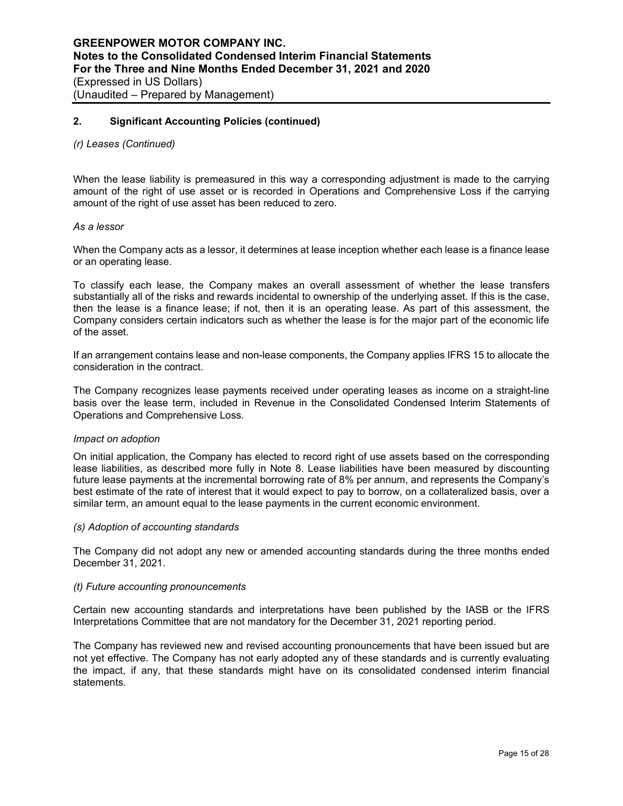#### *(r) Leases (Continued)*

When the lease liability is premeasured in this way a corresponding adjustment is made to the carrying amount of the right of use asset or is recorded in Operations and Comprehensive Loss if the carrying amount of the right of use asset has been reduced to zero.

#### *As a lessor*

When the Company acts as a lessor, it determines at lease inception whether each lease is a finance lease or an operating lease.

To classify each lease, the Company makes an overall assessment of whether the lease transfers substantially all of the risks and rewards incidental to ownership of the underlying asset. If this is the case, then the lease is a finance lease; if not, then it is an operating lease. As part of this assessment, the Company considers certain indicators such as whether the lease is for the major part of the economic life of the asset.

If an arrangement contains lease and non-lease components, the Company applies IFRS 15 to allocate the consideration in the contract.

The Company recognizes lease payments received under operating leases as income on a straight-line basis over the lease term, included in Revenue in the Consolidated Condensed Interim Statements of Operations and Comprehensive Loss.

#### *Impact on adoption*

On initial application, the Company has elected to record right of use assets based on the corresponding lease liabilities, as described more fully in Note 8. Lease liabilities have been measured by discounting future lease payments at the incremental borrowing rate of 8% per annum, and represents the Company's best estimate of the rate of interest that it would expect to pay to borrow, on a collateralized basis, over a similar term, an amount equal to the lease payments in the current economic environment.

#### *(s) Adoption of accounting standards*

The Company did not adopt any new or amended accounting standards during the three months ended December 31, 2021.

#### *(t) Future accounting pronouncements*

Certain new accounting standards and interpretations have been published by the IASB or the IFRS Interpretations Committee that are not mandatory for the December 31, 2021 reporting period.

The Company has reviewed new and revised accounting pronouncements that have been issued but are not yet effective. The Company has not early adopted any of these standards and is currently evaluating the impact, if any, that these standards might have on its consolidated condensed interim financial statements.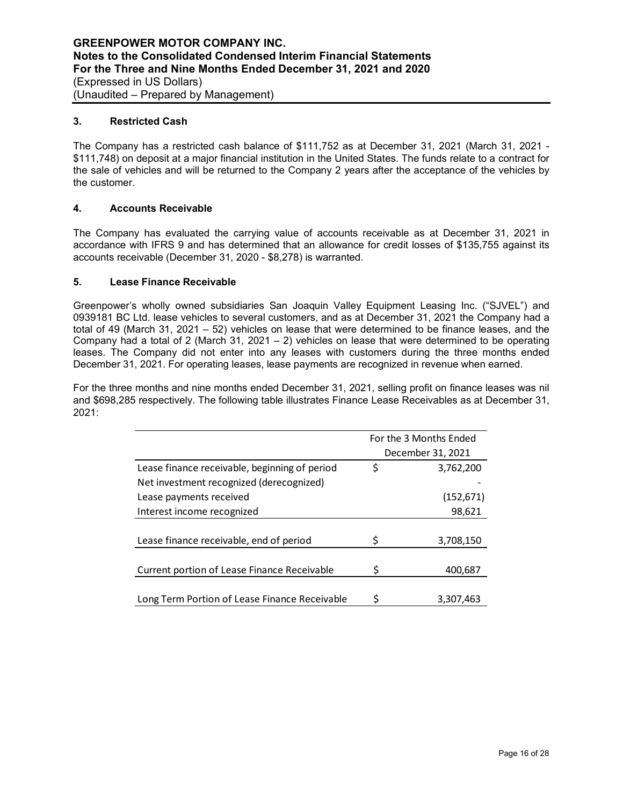## **3. Restricted Cash**

The Company has a restricted cash balance of \$111,752 as at December 31, 2021 (March 31, 2021 - \$111,748) on deposit at a major financial institution in the United States. The funds relate to a contract for the sale of vehicles and will be returned to the Company 2 years after the acceptance of the vehicles by the customer.

## **4. Accounts Receivable**

The Company has evaluated the carrying value of accounts receivable as at December 31, 2021 in accordance with IFRS 9 and has determined that an allowance for credit losses of \$135,755 against its accounts receivable (December 31, 2020 - \$8,278) is warranted.

## **5. Lease Finance Receivable**

Greenpower's wholly owned subsidiaries San Joaquin Valley Equipment Leasing Inc. ("SJVEL") and 0939181 BC Ltd. lease vehicles to several customers, and as at December 31, 2021 the Company had a total of 49 (March 31, 2021 – 52) vehicles on lease that were determined to be finance leases, and the Company had a total of 2 (March 31, 2021 – 2) vehicles on lease that were determined to be operating leases. The Company did not enter into any leases with customers during the three months ended December 31, 2021. For operating leases, lease payments are recognized in revenue when earned.

For the three months and nine months ended December 31, 2021, selling profit on finance leases was nil and \$698,285 respectively. The following table illustrates Finance Lease Receivables as at December 31, 2021:

|                                               | For the 3 Months Ended |                   |
|-----------------------------------------------|------------------------|-------------------|
|                                               |                        | December 31, 2021 |
| Lease finance receivable, beginning of period | \$                     | 3,762,200         |
| Net investment recognized (derecognized)      |                        |                   |
| Lease payments received                       |                        | (152, 671)        |
| Interest income recognized                    |                        | 98,621            |
|                                               |                        |                   |
| Lease finance receivable, end of period       |                        | 3,708,150         |
|                                               |                        |                   |
| Current portion of Lease Finance Receivable   | S                      | 400,687           |
|                                               |                        |                   |
| Long Term Portion of Lease Finance Receivable | Ś                      | 3.307.463         |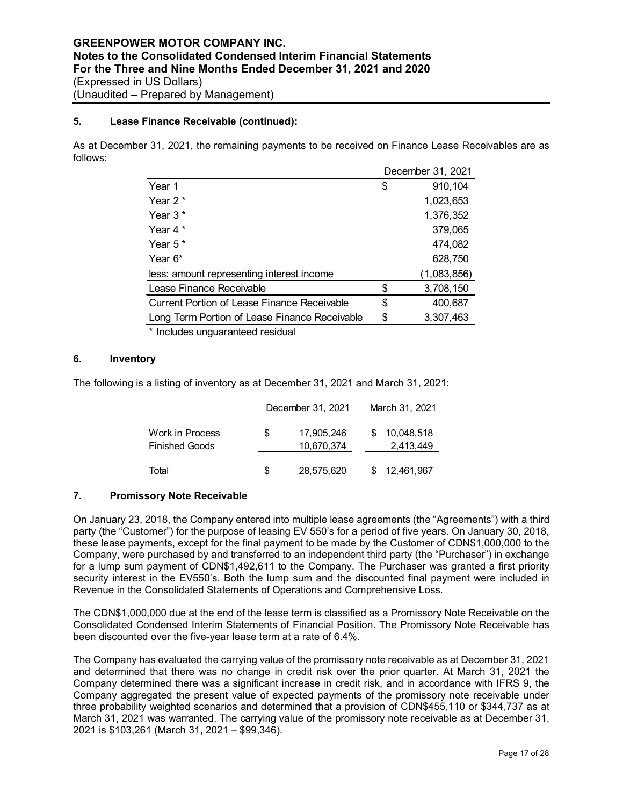## **5. Lease Finance Receivable (continued):**

As at December 31, 2021, the remaining payments to be received on Finance Lease Receivables are as follows:

|                                                    | December 31, 2021 |
|----------------------------------------------------|-------------------|
| Year 1                                             | \$<br>910,104     |
| Year 2 *                                           | 1,023,653         |
| Year 3*                                            | 1,376,352         |
| Year 4 $*$                                         | 379,065           |
| Year $5*$                                          | 474,082           |
| Year $6*$                                          | 628,750           |
| less: amount representing interest income          | (1,083,856)       |
| Lease Finance Receivable                           | \$<br>3,708,150   |
| <b>Current Portion of Lease Finance Receivable</b> | \$<br>400,687     |
| Long Term Portion of Lease Finance Receivable      | \$<br>3,307,463   |
|                                                    |                   |

\* Includes unguaranteed residual

## **6. Inventory**

The following is a listing of inventory as at December 31, 2021 and March 31, 2021:

|                                          |   | December 31, 2021        | March 31, 2021          |
|------------------------------------------|---|--------------------------|-------------------------|
| Work in Process<br><b>Finished Goods</b> | S | 17,905,246<br>10,670,374 | 10,048,518<br>2,413,449 |
| Total                                    |   | 28,575,620               | 12,461,967              |

## **7. Promissory Note Receivable**

On January 23, 2018, the Company entered into multiple lease agreements (the "Agreements") with a third party (the "Customer") for the purpose of leasing EV 550's for a period of five years. On January 30, 2018, these lease payments, except for the final payment to be made by the Customer of CDN\$1,000,000 to the Company, were purchased by and transferred to an independent third party (the "Purchaser") in exchange for a lump sum payment of CDN\$1,492,611 to the Company. The Purchaser was granted a first priority security interest in the EV550's. Both the lump sum and the discounted final payment were included in Revenue in the Consolidated Statements of Operations and Comprehensive Loss.

The CDN\$1,000,000 due at the end of the lease term is classified as a Promissory Note Receivable on the Consolidated Condensed Interim Statements of Financial Position. The Promissory Note Receivable has been discounted over the five-year lease term at a rate of 6.4%.

The Company has evaluated the carrying value of the promissory note receivable as at December 31, 2021 and determined that there was no change in credit risk over the prior quarter. At March 31, 2021 the Company determined there was a significant increase in credit risk, and in accordance with IFRS 9, the Company aggregated the present value of expected payments of the promissory note receivable under three probability weighted scenarios and determined that a provision of CDN\$455,110 or \$344,737 as at March 31, 2021 was warranted. The carrying value of the promissory note receivable as at December 31, 2021 is \$103,261 (March 31, 2021 – \$99,346).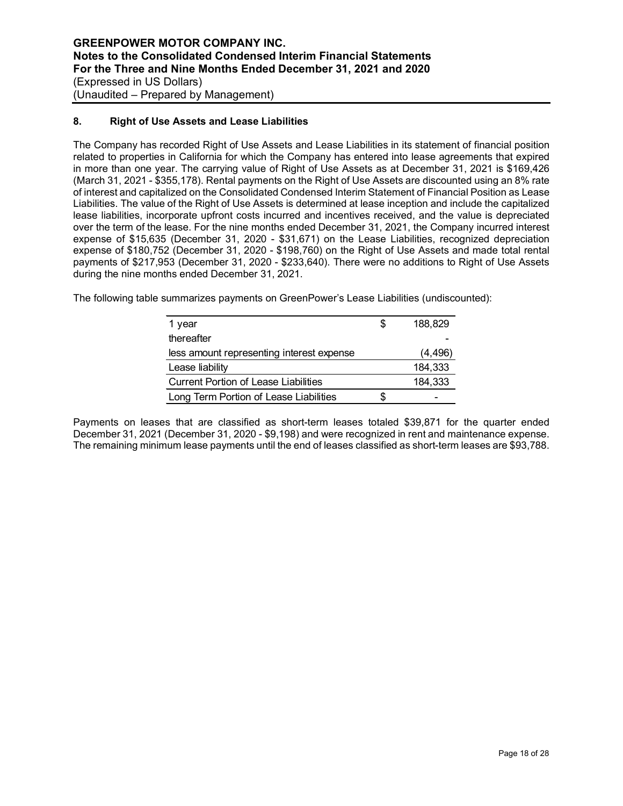## **8. Right of Use Assets and Lease Liabilities**

The Company has recorded Right of Use Assets and Lease Liabilities in its statement of financial position related to properties in California for which the Company has entered into lease agreements that expired in more than one year. The carrying value of Right of Use Assets as at December 31, 2021 is \$169,426 (March 31, 2021 - \$355,178). Rental payments on the Right of Use Assets are discounted using an 8% rate of interest and capitalized on the Consolidated Condensed Interim Statement of Financial Position as Lease Liabilities. The value of the Right of Use Assets is determined at lease inception and include the capitalized lease liabilities, incorporate upfront costs incurred and incentives received, and the value is depreciated over the term of the lease. For the nine months ended December 31, 2021, the Company incurred interest expense of \$15,635 (December 31, 2020 - \$31,671) on the Lease Liabilities, recognized depreciation expense of \$180,752 (December 31, 2020 - \$198,760) on the Right of Use Assets and made total rental payments of \$217,953 (December 31, 2020 - \$233,640). There were no additions to Right of Use Assets during the nine months ended December 31, 2021.

The following table summarizes payments on GreenPower's Lease Liabilities (undiscounted):

| 1 year                                      | \$. | 188.829  |
|---------------------------------------------|-----|----------|
| thereafter                                  |     |          |
| less amount representing interest expense   |     | (4, 496) |
| Lease liability                             |     | 184,333  |
| <b>Current Portion of Lease Liabilities</b> |     | 184,333  |
| Long Term Portion of Lease Liabilities      |     | -        |

Payments on leases that are classified as short-term leases totaled \$39,871 for the quarter ended December 31, 2021 (December 31, 2020 - \$9,198) and were recognized in rent and maintenance expense. The remaining minimum lease payments until the end of leases classified as short-term leases are \$93,788.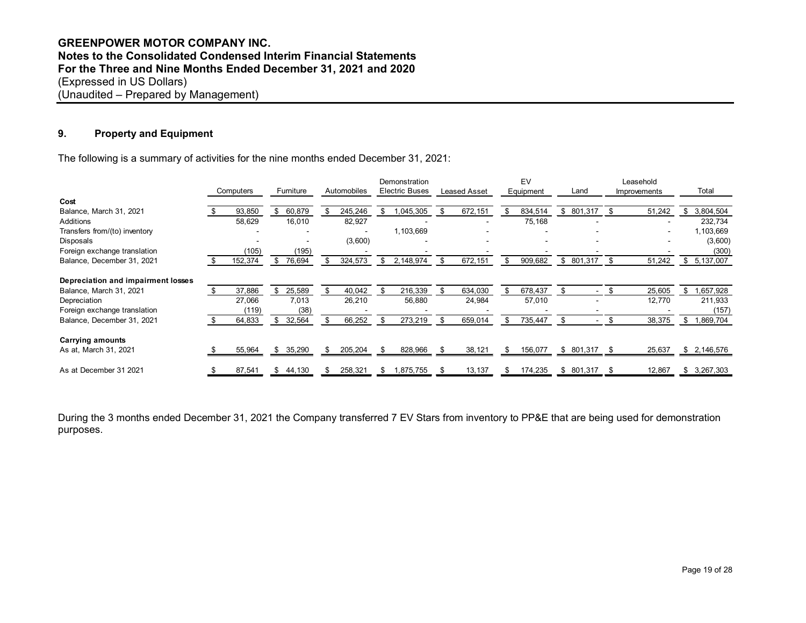## **GREENPOWER MOTOR COMPANY INC. Notes to the Consolidated Condensed Interim Financial Statements For the Three and Nine Months Ended December 31, 2021 and 2020** (Expressed in US Dollars) (Unaudited – Prepared by Management)

## **9. Property and Equipment**

The following is a summary of activities for the nine months ended December 31, 2021:

|                                    |  |         |    |        |             |           |              |               |               |    | Computers           |                 |  | Furniture |  | Demonstration<br><b>Electric Buses</b> |  | EV |  |  | Leasehold |  |
|------------------------------------|--|---------|----|--------|-------------|-----------|--------------|---------------|---------------|----|---------------------|-----------------|--|-----------|--|----------------------------------------|--|----|--|--|-----------|--|
|                                    |  |         |    |        | Automobiles |           | Leased Asset | Equipment     | Land          |    | <b>Improvements</b> | Total           |  |           |  |                                        |  |    |  |  |           |  |
| Cost                               |  |         |    |        |             |           |              |               |               |    |                     |                 |  |           |  |                                        |  |    |  |  |           |  |
| Balance, March 31, 2021            |  | 93,850  | \$ | 60,879 | 245,246     | ,045,305  | 672,151      | 834,514       | \$<br>801,317 | \$ | 51,242              | \$<br>3,804,504 |  |           |  |                                        |  |    |  |  |           |  |
| Additions                          |  | 58,629  |    | 16,010 | 82,927      |           |              | 75,168        |               |    |                     | 232,734         |  |           |  |                                        |  |    |  |  |           |  |
| Transfers from/(to) inventory      |  |         |    |        |             | 1,103,669 |              |               |               |    |                     | 1,103,669       |  |           |  |                                        |  |    |  |  |           |  |
| Disposals                          |  |         |    |        | (3,600)     |           |              |               |               |    |                     | (3,600)         |  |           |  |                                        |  |    |  |  |           |  |
| Foreign exchange translation       |  | (105    |    | (195)  |             |           |              |               |               |    |                     | (300)           |  |           |  |                                        |  |    |  |  |           |  |
| Balance, December 31, 2021         |  | 152,374 | S. | 76,694 | 324,573     | 2,148,974 | 672,151      | 909,682       | \$<br>801,317 | \$ | 51,242              | \$<br>5,137,007 |  |           |  |                                        |  |    |  |  |           |  |
| Depreciation and impairment losses |  |         |    |        |             |           |              |               |               |    |                     |                 |  |           |  |                                        |  |    |  |  |           |  |
| Balance, March 31, 2021            |  | 37,886  | \$ | 25,589 | 40,042      | 216,339   | 634,030      | \$<br>678,437 |               | \$ | 25,605              | \$<br>,657,928  |  |           |  |                                        |  |    |  |  |           |  |
| Depreciation                       |  | 27,066  |    | 7,013  | 26,210      | 56,880    | 24,984       | 57,010        |               |    | 12,770              | 211,933         |  |           |  |                                        |  |    |  |  |           |  |
| Foreign exchange translation       |  | (119)   |    | (38)   |             |           |              |               |               |    |                     | (157)           |  |           |  |                                        |  |    |  |  |           |  |
| Balance, December 31, 2021         |  | 64,833  | \$ | 32,564 | 66,252      | 273,219   | 659,014      | 735,447       |               |    | 38,375              | \$<br>1,869,704 |  |           |  |                                        |  |    |  |  |           |  |
| <b>Carrying amounts</b>            |  |         |    |        |             |           |              |               |               |    |                     |                 |  |           |  |                                        |  |    |  |  |           |  |
| As at, March 31, 2021              |  | 55,964  | \$ | 35,290 | 205,204     | 828,966   | 38,121       | 156,077       | \$ 801,317    |    | 25,637              | \$2,146,576     |  |           |  |                                        |  |    |  |  |           |  |
| As at December 31 2021             |  | 87,541  | \$ | 44,130 | 258,321     | 875,755.  | 13,137       | 174,235       | \$<br>801,317 | S  | 12,867              | \$<br>3,267,303 |  |           |  |                                        |  |    |  |  |           |  |

During the 3 months ended December 31, 2021 the Company transferred 7 EV Stars from inventory to PP&E that are being used for demonstration purposes.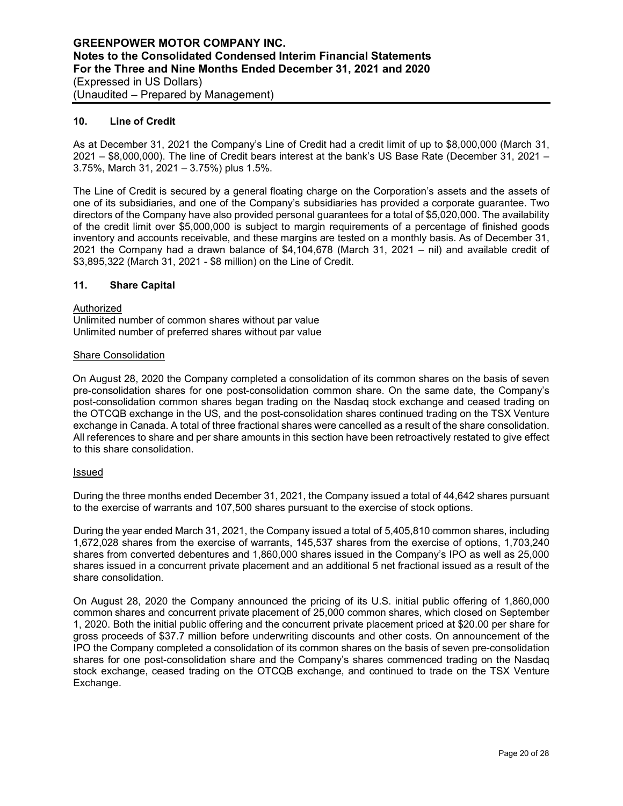## **10. Line of Credit**

As at December 31, 2021 the Company's Line of Credit had a credit limit of up to \$8,000,000 (March 31, 2021 – \$8,000,000). The line of Credit bears interest at the bank's US Base Rate (December 31, 2021 – 3.75%, March 31, 2021 – 3.75%) plus 1.5%.

The Line of Credit is secured by a general floating charge on the Corporation's assets and the assets of one of its subsidiaries, and one of the Company's subsidiaries has provided a corporate guarantee. Two directors of the Company have also provided personal guarantees for a total of \$5,020,000. The availability of the credit limit over \$5,000,000 is subject to margin requirements of a percentage of finished goods inventory and accounts receivable, and these margins are tested on a monthly basis. As of December 31, 2021 the Company had a drawn balance of \$4,104,678 (March 31, 2021 – nil) and available credit of \$3,895,322 (March 31, 2021 - \$8 million) on the Line of Credit.

#### **11. Share Capital**

Authorized Unlimited number of common shares without par value

Unlimited number of preferred shares without par value

#### Share Consolidation

On August 28, 2020 the Company completed a consolidation of its common shares on the basis of seven pre-consolidation shares for one post-consolidation common share. On the same date, the Company's post-consolidation common shares began trading on the Nasdaq stock exchange and ceased trading on the OTCQB exchange in the US, and the post-consolidation shares continued trading on the TSX Venture exchange in Canada. A total of three fractional shares were cancelled as a result of the share consolidation. All references to share and per share amounts in this section have been retroactively restated to give effect to this share consolidation.

#### Issued

During the three months ended December 31, 2021, the Company issued a total of 44,642 shares pursuant to the exercise of warrants and 107,500 shares pursuant to the exercise of stock options.

During the year ended March 31, 2021, the Company issued a total of 5,405,810 common shares, including 1,672,028 shares from the exercise of warrants, 145,537 shares from the exercise of options, 1,703,240 shares from converted debentures and 1,860,000 shares issued in the Company's IPO as well as 25,000 shares issued in a concurrent private placement and an additional 5 net fractional issued as a result of the share consolidation.

On August 28, 2020 the Company announced the pricing of its U.S. initial public offering of 1,860,000 common shares and concurrent private placement of 25,000 common shares, which closed on September 1, 2020. Both the initial public offering and the concurrent private placement priced at \$20.00 per share for gross proceeds of \$37.7 million before underwriting discounts and other costs. On announcement of the IPO the Company completed a consolidation of its common shares on the basis of seven pre-consolidation shares for one post-consolidation share and the Company's shares commenced trading on the Nasdaq stock exchange, ceased trading on the OTCQB exchange, and continued to trade on the TSX Venture Exchange.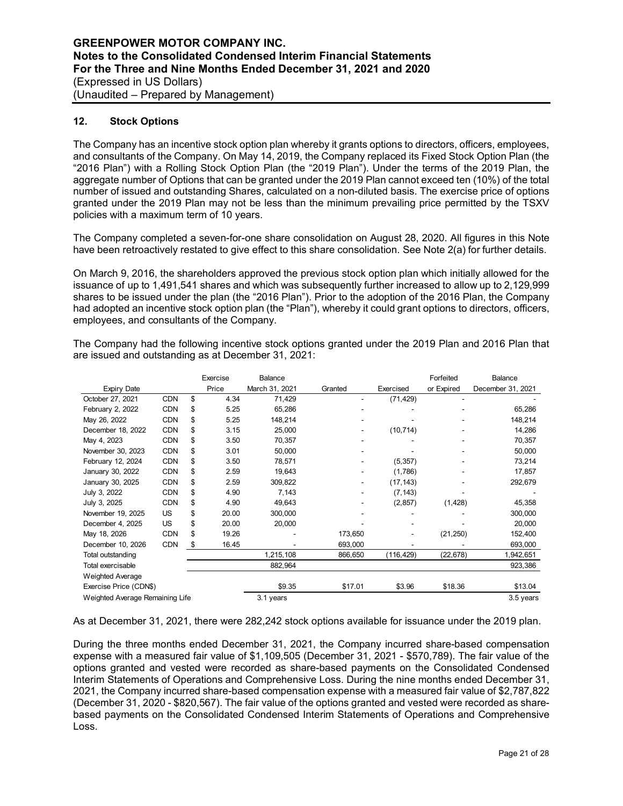## **12. Stock Options**

Weighted Average

The Company has an incentive stock option plan whereby it grants options to directors, officers, employees, and consultants of the Company. On May 14, 2019, the Company replaced its Fixed Stock Option Plan (the "2016 Plan") with a Rolling Stock Option Plan (the "2019 Plan"). Under the terms of the 2019 Plan, the aggregate number of Options that can be granted under the 2019 Plan cannot exceed ten (10%) of the total number of issued and outstanding Shares, calculated on a non-diluted basis. The exercise price of options granted under the 2019 Plan may not be less than the minimum prevailing price permitted by the TSXV policies with a maximum term of 10 years.

The Company completed a seven-for-one share consolidation on August 28, 2020. All figures in this Note have been retroactively restated to give effect to this share consolidation. See Note 2(a) for further details.

On March 9, 2016, the shareholders approved the previous stock option plan which initially allowed for the issuance of up to 1,491,541 shares and which was subsequently further increased to allow up to 2,129,999 shares to be issued under the plan (the "2016 Plan"). Prior to the adoption of the 2016 Plan, the Company had adopted an incentive stock option plan (the "Plan"), whereby it could grant options to directors, officers, employees, and consultants of the Company.

|                    |            | Exercise    | Balance        |         |           | Forfeited  | <b>Balance</b>    |
|--------------------|------------|-------------|----------------|---------|-----------|------------|-------------------|
| <b>Expiry Date</b> |            | Price       | March 31, 2021 | Granted | Exercised | or Expired | December 31, 2021 |
| October 27, 2021   | <b>CDN</b> | \$<br>4.34  | 71,429         |         | (71, 429) |            |                   |
| February 2, 2022   | <b>CDN</b> | \$<br>5.25  | 65,286         |         |           |            | 65,286            |
| May 26, 2022       | <b>CDN</b> | \$<br>5.25  | 148,214        |         |           |            | 148,214           |
| December 18, 2022  | <b>CDN</b> | \$<br>3.15  | 25,000         |         | (10, 714) | ۰          | 14,286            |
| May 4, 2023        | <b>CDN</b> | \$<br>3.50  | 70,357         |         |           |            | 70,357            |
| November 30, 2023  | <b>CDN</b> | \$<br>3.01  | 50.000         |         |           |            | 50,000            |
| February 12, 2024  | <b>CDN</b> | \$<br>3.50  | 78,571         |         | (5, 357)  |            | 73,214            |
| January 30, 2022   | <b>CDN</b> | \$<br>2.59  | 19,643         |         | (1,786)   |            | 17,857            |
| January 30, 2025   | <b>CDN</b> | \$<br>2.59  | 309,822        |         | (17, 143) |            | 292,679           |
| July 3, 2022       | <b>CDN</b> | \$<br>4.90  | 7,143          |         | (7, 143)  |            |                   |
| July 3, 2025       | <b>CDN</b> | \$<br>4.90  | 49.643         |         | (2,857)   | (1, 428)   | 45,358            |
| November 19, 2025  | US         | \$<br>20.00 | 300.000        |         |           |            | 300.000           |

December 4, 2025 US \$ 20.00 20,000 - - - - - - 20,000 May 18, 2026 CDN \$ 19.26 - 173,650 - (21,250) 152,400 December 10, 2026 CDN \$ 16.45 - 693,000 - 693,000<br>Total outstanding 1.215.108 66.650 (116.429) (22.678) 1.942.651 Total outstanding 1,215,108 866,650 (116,429) (22,678) 1,942,651 Total exercisable 882,964 923,386

The Company had the following incentive stock options granted under the 2019 Plan and 2016 Plan that are issued and outstanding as at December 31, 2021:

As at December 31, 2021, there were 282,242 stock options available for issuance under the 2019 plan.

Exercise Price (CDN\$) 69.35 \$17.01 \$3.96 \$18.36 \$13.04 Weighted Average Remaining Life 3.1 years 3.5 years 3.5 years 3.5 years 3.5 years 3.5 years 3.5 years 3.5 years 3.5 years 3.5 years 3.7 years 3.5 years 3.7 years 3.7 years 3.7 years 3.7 years 3.7 years 3.7 years 3.7 years

During the three months ended December 31, 2021, the Company incurred share-based compensation expense with a measured fair value of \$1,109,505 (December 31, 2021 - \$570,789). The fair value of the options granted and vested were recorded as share-based payments on the Consolidated Condensed Interim Statements of Operations and Comprehensive Loss. During the nine months ended December 31, 2021, the Company incurred share-based compensation expense with a measured fair value of \$2,787,822 (December 31, 2020 - \$820,567). The fair value of the options granted and vested were recorded as sharebased payments on the Consolidated Condensed Interim Statements of Operations and Comprehensive Loss.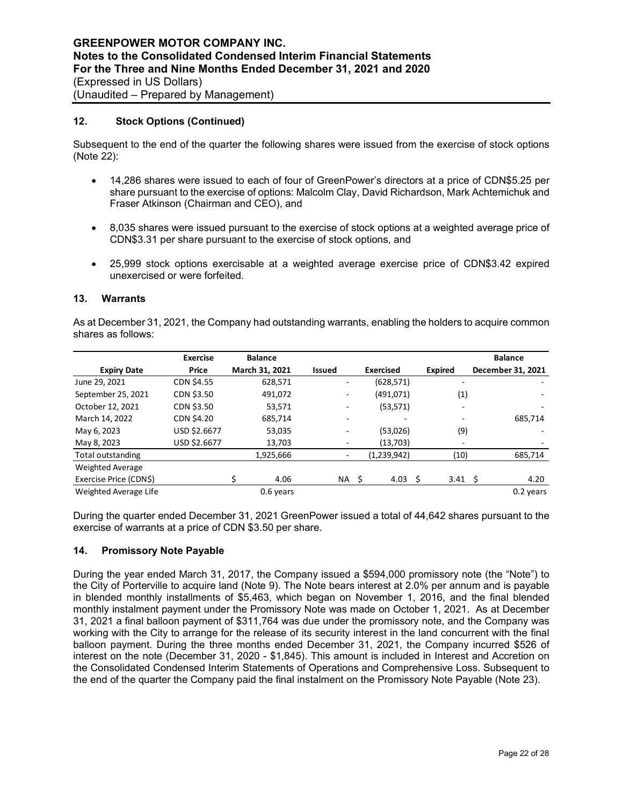## **12. Stock Options (Continued)**

Subsequent to the end of the quarter the following shares were issued from the exercise of stock options (Note 22):

- 14,286 shares were issued to each of four of GreenPower's directors at a price of CDN\$5.25 per share pursuant to the exercise of options: Malcolm Clay, David Richardson, Mark Achtemichuk and Fraser Atkinson (Chairman and CEO), and
- 8,035 shares were issued pursuant to the exercise of stock options at a weighted average price of CDN\$3.31 per share pursuant to the exercise of stock options, and
- 25,999 stock options exercisable at a weighted average exercise price of CDN\$3.42 expired unexercised or were forfeited.

## **13. Warrants**

As at December 31, 2021, the Company had outstanding warrants, enabling the holders to acquire common shares as follows:

|                         | <b>Exercise</b>   | <b>Balance</b> |               |                  |                          | <b>Balance</b>    |
|-------------------------|-------------------|----------------|---------------|------------------|--------------------------|-------------------|
| <b>Expiry Date</b>      | Price             | March 31, 2021 | <b>Issued</b> | <b>Exercised</b> | <b>Expired</b>           | December 31, 2021 |
| June 29, 2021           | <b>CDN \$4.55</b> | 628,571        |               | (628, 571)       | $\overline{\phantom{0}}$ |                   |
| September 25, 2021      | CDN \$3.50        | 491,072        |               | (491,071)        | (1)                      | ٠                 |
| October 12, 2021        | CDN \$3.50        | 53,571         |               | (53, 571)        |                          | ۰                 |
| March 14, 2022          | CDN \$4.20        | 685,714        | ۰             |                  | $\overline{\phantom{a}}$ | 685,714           |
| May 6, 2023             | USD \$2.6677      | 53,035         |               | (53,026)         | (9)                      |                   |
| May 8, 2023             | USD \$2.6677      | 13,703         |               | (13,703)         |                          |                   |
| Total outstanding       |                   | 1,925,666      |               | (1,239,942)      | (10)                     | 685,714           |
| <b>Weighted Average</b> |                   |                |               |                  |                          |                   |
| Exercise Price (CDN\$)  |                   | 4.06           | NA \$         | 4.03             | S<br>3.41 <sup>5</sup>   | 4.20              |
| Weighted Average Life   |                   | 0.6 years      |               |                  |                          | 0.2 years         |

During the quarter ended December 31, 2021 GreenPower issued a total of 44,642 shares pursuant to the exercise of warrants at a price of CDN \$3.50 per share.

## **14. Promissory Note Payable**

During the year ended March 31, 2017, the Company issued a \$594,000 promissory note (the "Note") to the City of Porterville to acquire land (Note 9). The Note bears interest at 2.0% per annum and is payable in blended monthly installments of \$5,463, which began on November 1, 2016, and the final blended monthly instalment payment under the Promissory Note was made on October 1, 2021. As at December 31, 2021 a final balloon payment of \$311,764 was due under the promissory note, and the Company was working with the City to arrange for the release of its security interest in the land concurrent with the final balloon payment. During the three months ended December 31, 2021, the Company incurred \$526 of interest on the note (December 31, 2020 - \$1,845). This amount is included in Interest and Accretion on the Consolidated Condensed Interim Statements of Operations and Comprehensive Loss. Subsequent to the end of the quarter the Company paid the final instalment on the Promissory Note Payable (Note 23).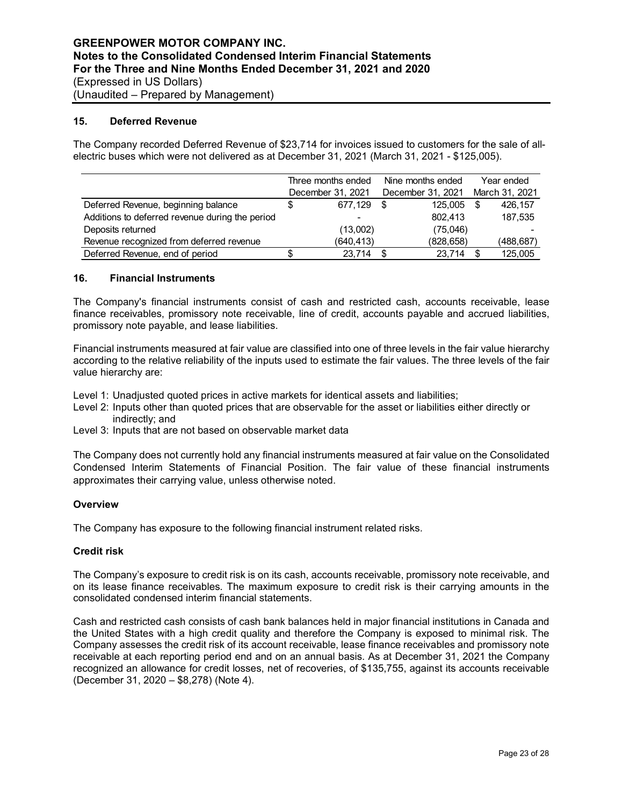#### **15. Deferred Revenue**

The Company recorded Deferred Revenue of \$23,714 for invoices issued to customers for the sale of allelectric buses which were not delivered as at December 31, 2021 (March 31, 2021 - \$125,005).

|                                                 |                   | Three months ended |                   | Nine months ended | Year ended     |
|-------------------------------------------------|-------------------|--------------------|-------------------|-------------------|----------------|
|                                                 | December 31, 2021 |                    | December 31, 2021 |                   | March 31, 2021 |
| Deferred Revenue, beginning balance             | S                 | 677.129            |                   | 125,005           | 426,157        |
| Additions to deferred revenue during the period |                   | -                  |                   | 802.413           | 187,535        |
| Deposits returned                               |                   | (13,002)           |                   | (75,046)          |                |
| Revenue recognized from deferred revenue        |                   | (640,413)          |                   | (828, 658)        | (488,687)      |
| Deferred Revenue, end of period                 | \$                | 23.714             |                   | 23.714            | 125.005        |

#### **16. Financial Instruments**

The Company's financial instruments consist of cash and restricted cash, accounts receivable, lease finance receivables, promissory note receivable, line of credit, accounts payable and accrued liabilities, promissory note payable, and lease liabilities.

Financial instruments measured at fair value are classified into one of three levels in the fair value hierarchy according to the relative reliability of the inputs used to estimate the fair values. The three levels of the fair value hierarchy are:

Level 1: Unadjusted quoted prices in active markets for identical assets and liabilities;

- Level 2: Inputs other than quoted prices that are observable for the asset or liabilities either directly or indirectly; and
- Level 3: Inputs that are not based on observable market data

The Company does not currently hold any financial instruments measured at fair value on the Consolidated Condensed Interim Statements of Financial Position. The fair value of these financial instruments approximates their carrying value, unless otherwise noted.

#### **Overview**

The Company has exposure to the following financial instrument related risks.

## **Credit risk**

The Company's exposure to credit risk is on its cash, accounts receivable, promissory note receivable, and on its lease finance receivables. The maximum exposure to credit risk is their carrying amounts in the consolidated condensed interim financial statements.

Cash and restricted cash consists of cash bank balances held in major financial institutions in Canada and the United States with a high credit quality and therefore the Company is exposed to minimal risk. The Company assesses the credit risk of its account receivable, lease finance receivables and promissory note receivable at each reporting period end and on an annual basis. As at December 31, 2021 the Company recognized an allowance for credit losses, net of recoveries, of \$135,755, against its accounts receivable (December 31, 2020 – \$8,278) (Note 4).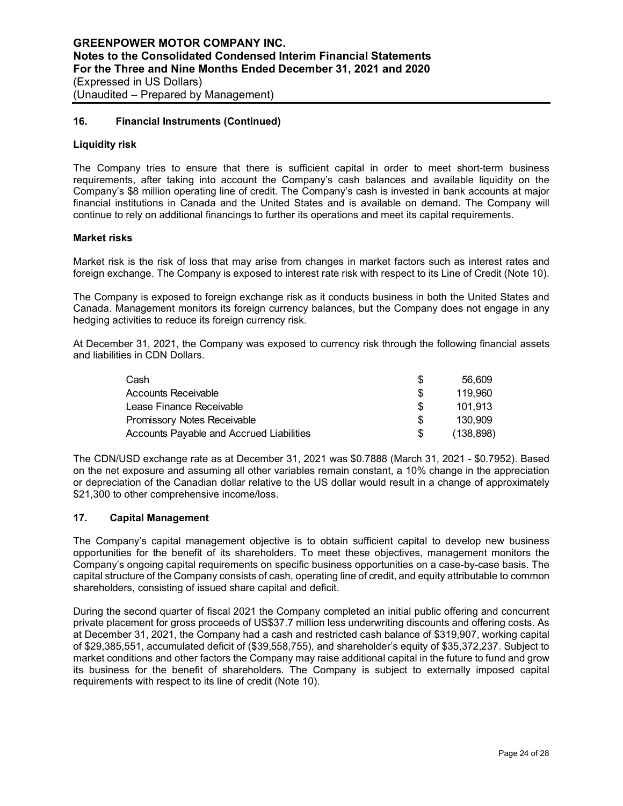## **16. Financial Instruments (Continued)**

#### **Liquidity risk**

The Company tries to ensure that there is sufficient capital in order to meet short-term business requirements, after taking into account the Company's cash balances and available liquidity on the Company's \$8 million operating line of credit. The Company's cash is invested in bank accounts at major financial institutions in Canada and the United States and is available on demand. The Company will continue to rely on additional financings to further its operations and meet its capital requirements.

#### **Market risks**

Market risk is the risk of loss that may arise from changes in market factors such as interest rates and foreign exchange. The Company is exposed to interest rate risk with respect to its Line of Credit (Note 10).

The Company is exposed to foreign exchange risk as it conducts business in both the United States and Canada. Management monitors its foreign currency balances, but the Company does not engage in any hedging activities to reduce its foreign currency risk.

At December 31, 2021, the Company was exposed to currency risk through the following financial assets and liabilities in CDN Dollars.

| Cash                                     | S   | 56.609     |
|------------------------------------------|-----|------------|
| Accounts Receivable                      | \$. | 119.960    |
| Lease Finance Receivable                 | \$. | 101.913    |
| <b>Promissory Notes Receivable</b>       | \$. | 130.909    |
| Accounts Payable and Accrued Liabilities | \$. | (138, 898) |

The CDN/USD exchange rate as at December 31, 2021 was \$0.7888 (March 31, 2021 - \$0.7952). Based on the net exposure and assuming all other variables remain constant, a 10% change in the appreciation or depreciation of the Canadian dollar relative to the US dollar would result in a change of approximately \$21,300 to other comprehensive income/loss.

## **17. Capital Management**

The Company's capital management objective is to obtain sufficient capital to develop new business opportunities for the benefit of its shareholders. To meet these objectives, management monitors the Company's ongoing capital requirements on specific business opportunities on a case-by-case basis. The capital structure of the Company consists of cash, operating line of credit, and equity attributable to common shareholders, consisting of issued share capital and deficit.

During the second quarter of fiscal 2021 the Company completed an initial public offering and concurrent private placement for gross proceeds of US\$37.7 million less underwriting discounts and offering costs. As at December 31, 2021, the Company had a cash and restricted cash balance of \$319,907, working capital of \$29,385,551, accumulated deficit of (\$39,558,755), and shareholder's equity of \$35,372,237. Subject to market conditions and other factors the Company may raise additional capital in the future to fund and grow its business for the benefit of shareholders. The Company is subject to externally imposed capital requirements with respect to its line of credit (Note 10).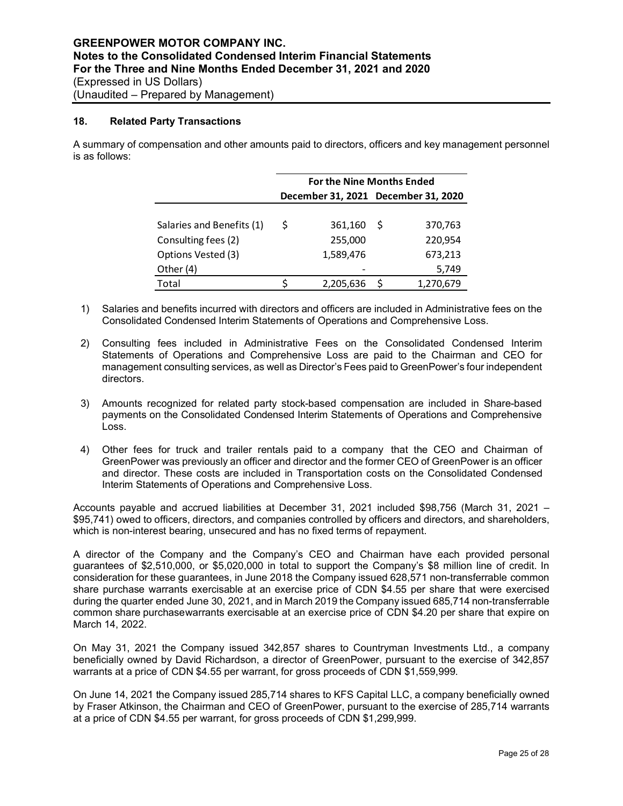#### **18. Related Party Transactions**

A summary of compensation and other amounts paid to directors, officers and key management personnel is as follows:

|                           | <b>For the Nine Months Ended</b>    |           |    |           |  |  |  |  |  |  |
|---------------------------|-------------------------------------|-----------|----|-----------|--|--|--|--|--|--|
|                           | December 31, 2021 December 31, 2020 |           |    |           |  |  |  |  |  |  |
|                           |                                     |           |    |           |  |  |  |  |  |  |
| Salaries and Benefits (1) | S                                   | 361,160   | -S | 370,763   |  |  |  |  |  |  |
| Consulting fees (2)       |                                     | 255,000   |    | 220,954   |  |  |  |  |  |  |
| Options Vested (3)        |                                     | 1,589,476 |    | 673,213   |  |  |  |  |  |  |
| Other (4)                 |                                     |           |    | 5,749     |  |  |  |  |  |  |
| Total                     |                                     | 2,205,636 |    | 1,270,679 |  |  |  |  |  |  |

- 1) Salaries and benefits incurred with directors and officers are included in Administrative fees on the Consolidated Condensed Interim Statements of Operations and Comprehensive Loss.
- 2) Consulting fees included in Administrative Fees on the Consolidated Condensed Interim Statements of Operations and Comprehensive Loss are paid to the Chairman and CEO for management consulting services, as well as Director's Fees paid to GreenPower's four independent directors.
- 3) Amounts recognized for related party stock-based compensation are included in Share-based payments on the Consolidated Condensed Interim Statements of Operations and Comprehensive Loss.
- 4) Other fees for truck and trailer rentals paid to a company that the CEO and Chairman of GreenPower was previously an officer and director and the former CEO of GreenPower is an officer and director. These costs are included in Transportation costs on the Consolidated Condensed Interim Statements of Operations and Comprehensive Loss.

Accounts payable and accrued liabilities at December 31, 2021 included \$98,756 (March 31, 2021 – \$95,741) owed to officers, directors, and companies controlled by officers and directors, and shareholders, which is non-interest bearing, unsecured and has no fixed terms of repayment.

A director of the Company and the Company's CEO and Chairman have each provided personal guarantees of \$2,510,000, or \$5,020,000 in total to support the Company's \$8 million line of credit. In consideration for these guarantees, in June 2018 the Company issued 628,571 non-transferrable common share purchase warrants exercisable at an exercise price of CDN \$4.55 per share that were exercised during the quarter ended June 30, 2021, and in March 2019 the Company issued 685,714 non-transferrable common share purchase warrants exercisable at an exercise price of CDN \$4.20 per share that expire on March 14, 2022.

On May 31, 2021 the Company issued 342,857 shares to Countryman Investments Ltd., a company beneficially owned by David Richardson, a director of GreenPower, pursuant to the exercise of 342,857 warrants at a price of CDN \$4.55 per warrant, for gross proceeds of CDN \$1,559,999.

On June 14, 2021 the Company issued 285,714 shares to KFS Capital LLC, a company beneficially owned by Fraser Atkinson, the Chairman and CEO of GreenPower, pursuant to the exercise of 285,714 warrants at a price of CDN \$4.55 per warrant, for gross proceeds of CDN \$1,299,999.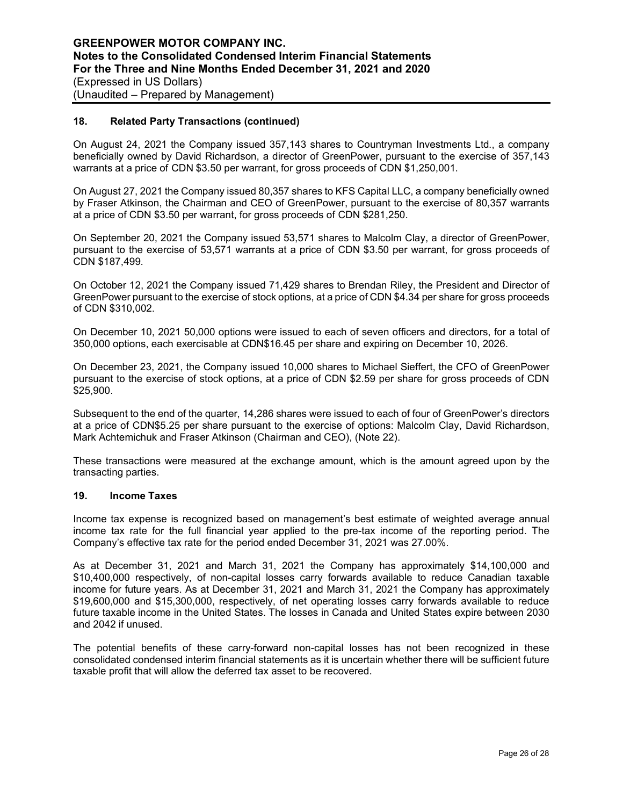#### **18. Related Party Transactions (continued)**

On August 24, 2021 the Company issued 357,143 shares to Countryman Investments Ltd., a company beneficially owned by David Richardson, a director of GreenPower, pursuant to the exercise of 357,143 warrants at a price of CDN \$3.50 per warrant, for gross proceeds of CDN \$1,250,001.

On August 27, 2021 the Company issued 80,357 shares to KFS Capital LLC, a company beneficially owned by Fraser Atkinson, the Chairman and CEO of GreenPower, pursuant to the exercise of 80,357 warrants at a price of CDN \$3.50 per warrant, for gross proceeds of CDN \$281,250.

On September 20, 2021 the Company issued 53,571 shares to Malcolm Clay, a director of GreenPower, pursuant to the exercise of 53,571 warrants at a price of CDN \$3.50 per warrant, for gross proceeds of CDN \$187,499.

On October 12, 2021 the Company issued 71,429 shares to Brendan Riley, the President and Director of GreenPower pursuant to the exercise of stock options, at a price of CDN \$4.34 per share for gross proceeds of CDN \$310,002.

On December 10, 2021 50,000 options were issued to each of seven officers and directors, for a total of 350,000 options, each exercisable at CDN\$16.45 per share and expiring on December 10, 2026.

On December 23, 2021, the Company issued 10,000 shares to Michael Sieffert, the CFO of GreenPower pursuant to the exercise of stock options, at a price of CDN \$2.59 per share for gross proceeds of CDN \$25,900.

Subsequent to the end of the quarter, 14,286 shares were issued to each of four of GreenPower's directors at a price of CDN\$5.25 per share pursuant to the exercise of options: Malcolm Clay, David Richardson, Mark Achtemichuk and Fraser Atkinson (Chairman and CEO), (Note 22).

These transactions were measured at the exchange amount, which is the amount agreed upon by the transacting parties.

#### **19. Income Taxes**

Income tax expense is recognized based on management's best estimate of weighted average annual income tax rate for the full financial year applied to the pre-tax income of the reporting period. The Company's effective tax rate for the period ended December 31, 2021 was 27.00%.

As at December 31, 2021 and March 31, 2021 the Company has approximately \$14,100,000 and \$10,400,000 respectively, of non-capital losses carry forwards available to reduce Canadian taxable income for future years. As at December 31, 2021 and March 31, 2021 the Company has approximately \$19,600,000 and \$15,300,000, respectively, of net operating losses carry forwards available to reduce future taxable income in the United States. The losses in Canada and United States expire between 2030 and 2042 if unused.

The potential benefits of these carry-forward non-capital losses has not been recognized in these consolidated condensed interim financial statements as it is uncertain whether there will be sufficient future taxable profit that will allow the deferred tax asset to be recovered.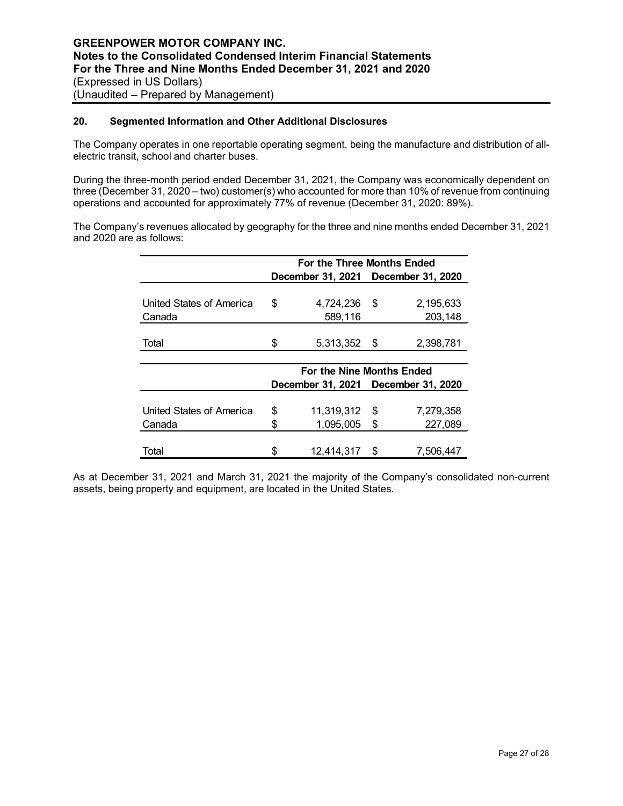## **20. Segmented Information and Other Additional Disclosures**

The Company operates in one reportable operating segment, being the manufacture and distribution of allelectric transit, school and charter buses.

During the three-month period ended December 31, 2021, the Company was economically dependent on three (December 31, 2020 – two) customer(s) who accounted for more than 10% of revenue from continuing operations and accounted for approximately 77% of revenue (December 31, 2020: 89%).

The Company's revenues allocated by geography for the three and nine months ended December 31, 2021 and 2020 are as follows:

|                          | For the Three Months Ended |                                     |      |           |  |  |  |  |  |
|--------------------------|----------------------------|-------------------------------------|------|-----------|--|--|--|--|--|
|                          |                            | December 31, 2021 December 31, 2020 |      |           |  |  |  |  |  |
|                          |                            |                                     |      |           |  |  |  |  |  |
| United States of America | \$                         | 4,724,236                           | \$   | 2,195,633 |  |  |  |  |  |
| Canada                   |                            | 589,116                             |      | 203,148   |  |  |  |  |  |
|                          |                            |                                     |      |           |  |  |  |  |  |
| Total                    | \$                         | 5,313,352                           | - \$ | 2,398,781 |  |  |  |  |  |
|                          |                            |                                     |      |           |  |  |  |  |  |
|                          |                            | For the Nine Months Ended           |      |           |  |  |  |  |  |
|                          |                            | December 31, 2021 December 31, 2020 |      |           |  |  |  |  |  |
|                          |                            |                                     |      |           |  |  |  |  |  |
| United States of America | \$                         | 11,319,312                          | \$   | 7,279,358 |  |  |  |  |  |
| Canada                   | \$                         | 1,095,005                           | \$   | 227,089   |  |  |  |  |  |
|                          |                            |                                     |      |           |  |  |  |  |  |
| Total                    | \$                         | 12,414,317                          | \$   | 7.506.447 |  |  |  |  |  |

As at December 31, 2021 and March 31, 2021 the majority of the Company's consolidated non-current assets, being property and equipment, are located in the United States.